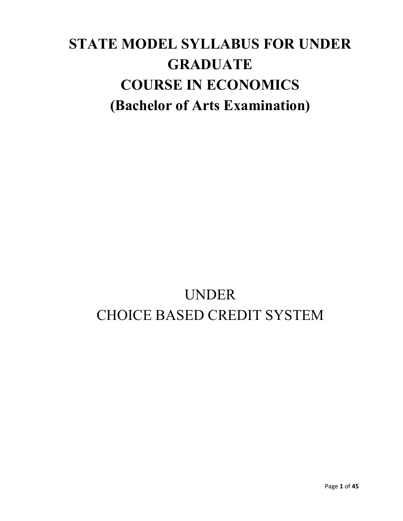# **STATE MODEL SYLLABUS FOR UNDER GRADUATE COURSE IN ECONOMICS (Bachelor of Arts Examination)**

# UNDER CHOICE BASED CREDIT SYSTEM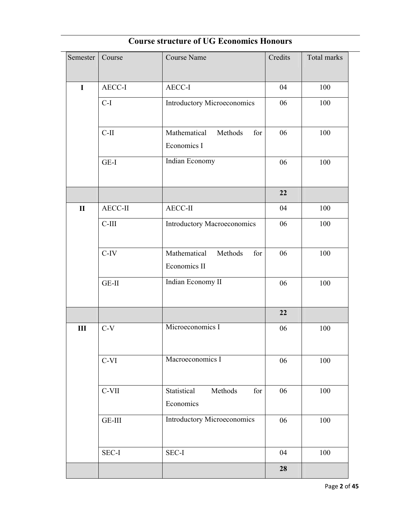| Semester     | Course  | <b>Course Name</b>                             | Credits | Total marks |
|--------------|---------|------------------------------------------------|---------|-------------|
| $\mathbf I$  | AECC-I  | AECC-I                                         | 04      | 100         |
|              |         |                                                |         |             |
|              | $C-I$   | Introductory Microeconomics                    | 06      | 100         |
|              | $C-II$  | Mathematical<br>Methods<br>for<br>Economics I  | 06      | 100         |
|              | $GE-I$  | Indian Economy                                 | 06      | 100         |
|              |         |                                                | 22      |             |
| $\mathbf{I}$ | AECC-II | AECC-II                                        | 04      | 100         |
|              | $C-III$ | <b>Introductory Macroeconomics</b>             | 06      | 100         |
|              | $C-IV$  | Mathematical<br>Methods<br>for<br>Economics II | 06      | 100         |
|              | GE-II   | Indian Economy II                              | 06      | 100         |
|              |         |                                                | 22      |             |
| $\rm III$    | $C-V$   | Microeconomics I                               | 06      | 100         |
|              | $C-VI$  | Macroeconomics I                               | 06      | 100         |
|              | C-VII   | Statistical<br>Methods<br>for<br>Economics     | 06      | 100         |
|              | GE-III  | <b>Introductory Microeconomics</b>             | 06      | 100         |
|              | SEC-I   | SEC-I                                          | 04      | 100         |
|              |         |                                                | 28      |             |

# **Course structure of UG Economics Honours**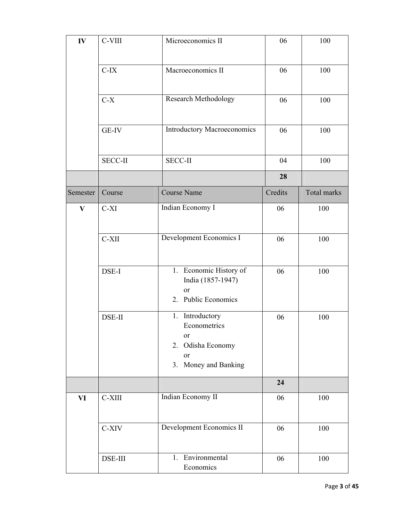| IV            | C-VIII         | Microeconomics II                                                                        | 06      | 100                |
|---------------|----------------|------------------------------------------------------------------------------------------|---------|--------------------|
|               | $C-IX$         | Macroeconomics II                                                                        | 06      | 100                |
|               | $C-X$          | Research Methodology                                                                     | 06      | 100                |
|               | <b>GE-IV</b>   | Introductory Macroeconomics                                                              | 06      | 100                |
|               | <b>SECC-II</b> | <b>SECC-II</b>                                                                           | 04      | 100                |
|               |                |                                                                                          | 28      |                    |
| Semester      | Course         | <b>Course Name</b>                                                                       | Credits | <b>Total marks</b> |
| $\mathbf{V}$  | $C-XI$         | Indian Economy I                                                                         | 06      | 100                |
|               | $C-XII$        | Development Economics I                                                                  | 06      | 100                |
|               | DSE-I          | 1. Economic History of<br>India (1857-1947)<br>or<br>2. Public Economics                 | 06      | 100                |
|               | DSE-II         | 1. Introductory<br>Econometrics<br>or<br>2. Odisha Economy<br>or<br>3. Money and Banking | 06      | 100                |
|               |                |                                                                                          | 24      |                    |
| $\mathbf{VI}$ | C-XIII         | Indian Economy II                                                                        | 06      | 100                |
|               | C-XIV          | Development Economics II                                                                 | 06      | 100                |
|               | DSE-III        | 1. Environmental<br>Economics                                                            | 06      | 100                |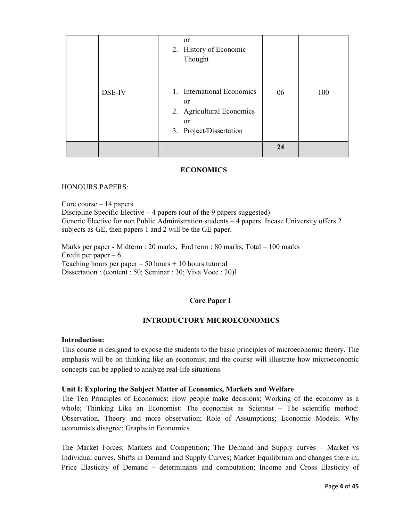|        | or<br>2. History of Economic<br>Thought                                                                              |    |     |
|--------|----------------------------------------------------------------------------------------------------------------------|----|-----|
| DSE-IV | 1. International Economics<br><sub>or</sub><br>2. Agricultural Economics<br><sub>or</sub><br>3. Project/Dissertation | 06 | 100 |
|        |                                                                                                                      | 24 |     |

# **ECONOMICS**

#### HONOURS PAPERS:

Core course – 14 papers

Discipline Specific Elective – 4 papers (out of the 9 papers suggested) Generic Elective for non Public Administration students – 4 papers. Incase University offers 2 subjects as GE, then papers 1 and 2 will be the GE paper.

Marks per paper - Midterm : 20 marks, End term : 80 marks, Total – 100 marks Credit per paper  $-6$ Teaching hours per paper  $-50$  hours  $+10$  hours tutorial Dissertation : (content : 50; Seminar : 30; Viva Voce : 20)l

# **Core Paper I**

## **INTRODUCTORY MICROECONOMICS**

#### **Introduction:**

This course is designed to expose the students to the basic principles of microeconomic theory. The emphasis will be on thinking like an economist and the course will illustrate how microeconomic concepts can be applied to analyze real-life situations.

#### **Unit I: Exploring the Subject Matter of Economics, Markets and Welfare**

The Ten Principles of Economics: How people make decisions; Working of the economy as a whole; Thinking Like an Economist: The economist as Scientist – The scientific method: Observation, Theory and more observation; Role of Assumptions; Economic Models; Why economists disagree; Graphs in Economics

The Market Forces; Markets and Competition; The Demand and Supply curves – Market vs Individual curves, Shifts in Demand and Supply Curves; Market Equilibrium and changes there in; Price Elasticity of Demand – determinants and computation; Income and Cross Elasticity of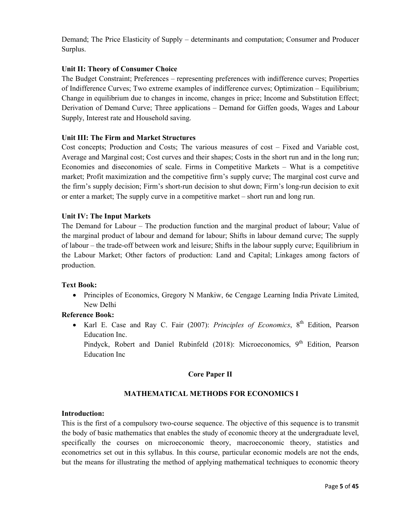Demand; The Price Elasticity of Supply – determinants and computation; Consumer and Producer Surplus.

# **Unit II: Theory of Consumer Choice**

The Budget Constraint; Preferences – representing preferences with indifference curves; Properties of Indifference Curves; Two extreme examples of indifference curves; Optimization – Equilibrium; Change in equilibrium due to changes in income, changes in price; Income and Substitution Effect; Derivation of Demand Curve; Three applications – Demand for Giffen goods, Wages and Labour Supply, Interest rate and Household saving.

## **Unit III: The Firm and Market Structures**

Cost concepts; Production and Costs; The various measures of cost – Fixed and Variable cost, Average and Marginal cost; Cost curves and their shapes; Costs in the short run and in the long run; Economies and diseconomies of scale. Firms in Competitive Markets – What is a competitive market; Profit maximization and the competitive firm's supply curve; The marginal cost curve and the firm's supply decision; Firm's short-run decision to shut down; Firm's long-run decision to exit or enter a market; The supply curve in a competitive market – short run and long run.

## **Unit IV: The Input Markets**

The Demand for Labour – The production function and the marginal product of labour; Value of the marginal product of labour and demand for labour; Shifts in labour demand curve; The supply of labour – the trade-off between work and leisure; Shifts in the labour supply curve; Equilibrium in the Labour Market; Other factors of production: Land and Capital; Linkages among factors of production.

## **Text Book:**

• Principles of Economics, Gregory N Mankiw, 6e Cengage Learning India Private Limited, New Delhi

## **Reference Book:**

• Karl E. Case and Ray C. Fair (2007): *Principles of Economics*, 8<sup>th</sup> Edition, Pearson Education Inc.

Pindyck, Robert and Daniel Rubinfeld (2018): Microeconomics, 9<sup>th</sup> Edition, Pearson Education Inc

# **Core Paper II**

# **MATHEMATICAL METHODS FOR ECONOMICS I**

## **Introduction:**

This is the first of a compulsory two-course sequence. The objective of this sequence is to transmit the body of basic mathematics that enables the study of economic theory at the undergraduate level, specifically the courses on microeconomic theory, macroeconomic theory, statistics and econometrics set out in this syllabus. In this course, particular economic models are not the ends, but the means for illustrating the method of applying mathematical techniques to economic theory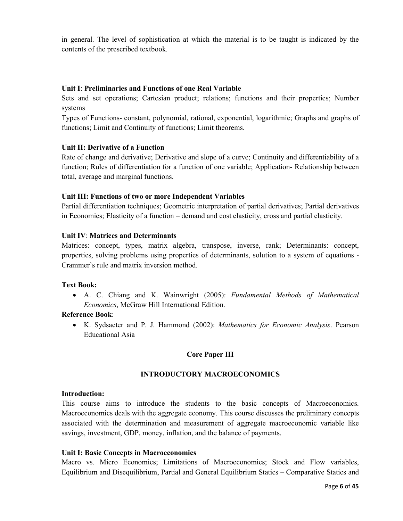in general. The level of sophistication at which the material is to be taught is indicated by the contents of the prescribed textbook.

# **Unit I**: **Preliminaries and Functions of one Real Variable**

Sets and set operations; Cartesian product; relations; functions and their properties; Number systems

Types of Functions- constant, polynomial, rational, exponential, logarithmic; Graphs and graphs of functions; Limit and Continuity of functions; Limit theorems.

## **Unit II: Derivative of a Function**

Rate of change and derivative; Derivative and slope of a curve; Continuity and differentiability of a function; Rules of differentiation for a function of one variable; Application- Relationship between total, average and marginal functions.

## **Unit III: Functions of two or more Independent Variables**

Partial differentiation techniques; Geometric interpretation of partial derivatives; Partial derivatives in Economics; Elasticity of a function – demand and cost elasticity, cross and partial elasticity.

## **Unit IV**: **Matrices and Determinants**

Matrices: concept, types, matrix algebra, transpose, inverse, rank; Determinants: concept, properties, solving problems using properties of determinants, solution to a system of equations - Crammer's rule and matrix inversion method.

## **Text Book:**

• A. C. Chiang and K. Wainwright (2005): *Fundamental Methods of Mathematical Economics*, McGraw Hill International Edition.

## **Reference Book**:

• K. Sydsaeter and P. J. Hammond (2002): *Mathematics for Economic Analysis*. Pearson Educational Asia

# **Core Paper III**

## **INTRODUCTORY MACROECONOMICS**

## **Introduction:**

This course aims to introduce the students to the basic concepts of Macroeconomics. Macroeconomics deals with the aggregate economy. This course discusses the preliminary concepts associated with the determination and measurement of aggregate macroeconomic variable like savings, investment, GDP, money, inflation, and the balance of payments.

## **Unit I: Basic Concepts in Macroeconomics**

Macro vs. Micro Economics; Limitations of Macroeconomics; Stock and Flow variables, Equilibrium and Disequilibrium, Partial and General Equilibrium Statics – Comparative Statics and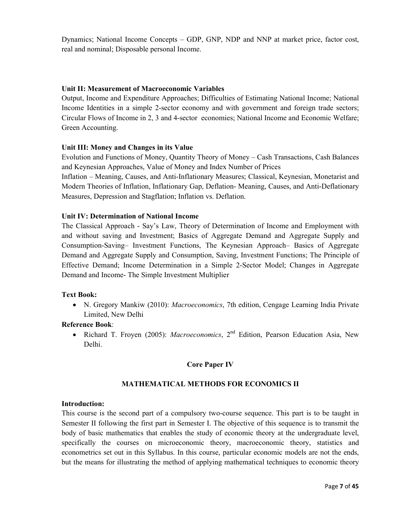Dynamics; National Income Concepts – GDP, GNP, NDP and NNP at market price, factor cost, real and nominal; Disposable personal Income.

## **Unit II: Measurement of Macroeconomic Variables**

Output, Income and Expenditure Approaches; Difficulties of Estimating National Income; National Income Identities in a simple 2-sector economy and with government and foreign trade sectors; Circular Flows of Income in 2, 3 and 4-sector economies; National Income and Economic Welfare; Green Accounting.

## **Unit III: Money and Changes in its Value**

Evolution and Functions of Money, Quantity Theory of Money – Cash Transactions, Cash Balances and Keynesian Approaches, Value of Money and Index Number of Prices

Inflation – Meaning, Causes, and Anti-Inflationary Measures; Classical, Keynesian, Monetarist and Modern Theories of Inflation, Inflationary Gap, Deflation- Meaning, Causes, and Anti-Deflationary Measures, Depression and Stagflation; Inflation vs. Deflation.

## **Unit IV: Determination of National Income**

The Classical Approach - Say's Law, Theory of Determination of Income and Employment with and without saving and Investment; Basics of Aggregate Demand and Aggregate Supply and Consumption-Saving– Investment Functions, The Keynesian Approach– Basics of Aggregate Demand and Aggregate Supply and Consumption, Saving, Investment Functions; The Principle of Effective Demand; Income Determination in a Simple 2-Sector Model; Changes in Aggregate Demand and Income- The Simple Investment Multiplier

## **Text Book:**

• N. Gregory Mankiw (2010): *Macroeconomics*, 7th edition, Cengage Learning India Private Limited, New Delhi

## **Reference Book**:

• Richard T. Froyen (2005): *Macroeconomics*, 2<sup>nd</sup> Edition, Pearson Education Asia, New Delhi.

## **Core Paper IV**

## **MATHEMATICAL METHODS FOR ECONOMICS II**

## **Introduction:**

This course is the second part of a compulsory two-course sequence. This part is to be taught in Semester II following the first part in Semester I. The objective of this sequence is to transmit the body of basic mathematics that enables the study of economic theory at the undergraduate level, specifically the courses on microeconomic theory, macroeconomic theory, statistics and econometrics set out in this Syllabus. In this course, particular economic models are not the ends, but the means for illustrating the method of applying mathematical techniques to economic theory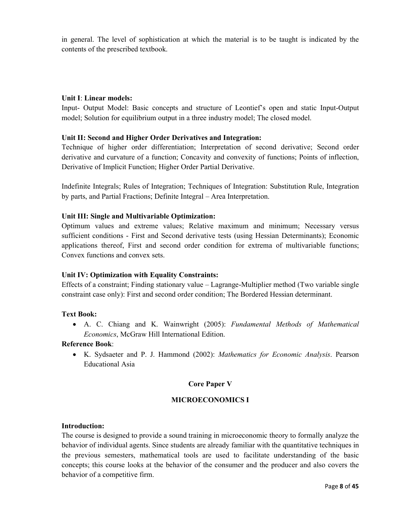in general. The level of sophistication at which the material is to be taught is indicated by the contents of the prescribed textbook.

## **Unit I**: **Linear models:**

Input- Output Model: Basic concepts and structure of Leontief's open and static Input-Output model; Solution for equilibrium output in a three industry model; The closed model.

# **Unit II: Second and Higher Order Derivatives and Integration:**

Technique of higher order differentiation; Interpretation of second derivative; Second order derivative and curvature of a function; Concavity and convexity of functions; Points of inflection, Derivative of Implicit Function; Higher Order Partial Derivative.

Indefinite Integrals; Rules of Integration; Techniques of Integration: Substitution Rule, Integration by parts, and Partial Fractions; Definite Integral – Area Interpretation.

## **Unit III: Single and Multivariable Optimization:**

Optimum values and extreme values; Relative maximum and minimum; Necessary versus sufficient conditions - First and Second derivative tests (using Hessian Determinants); Economic applications thereof, First and second order condition for extrema of multivariable functions; Convex functions and convex sets.

# **Unit IV: Optimization with Equality Constraints:**

Effects of a constraint; Finding stationary value – Lagrange-Multiplier method (Two variable single constraint case only): First and second order condition; The Bordered Hessian determinant.

## **Text Book:**

• A. C. Chiang and K. Wainwright (2005): *Fundamental Methods of Mathematical Economics*, McGraw Hill International Edition.

## **Reference Book**:

• K. Sydsaeter and P. J. Hammond (2002): *Mathematics for Economic Analysis*. Pearson Educational Asia

# **Core Paper V**

# **MICROECONOMICS I**

## **Introduction:**

The course is designed to provide a sound training in microeconomic theory to formally analyze the behavior of individual agents. Since students are already familiar with the quantitative techniques in the previous semesters, mathematical tools are used to facilitate understanding of the basic concepts; this course looks at the behavior of the consumer and the producer and also covers the behavior of a competitive firm.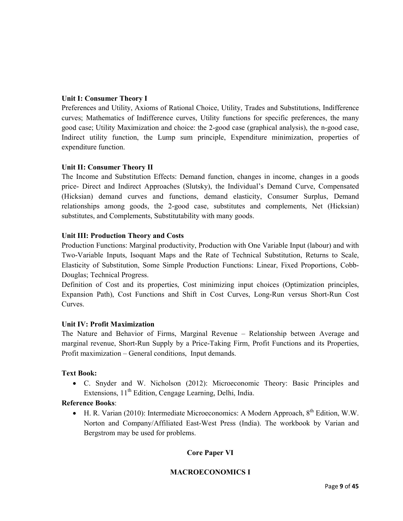# **Unit I: Consumer Theory I**

Preferences and Utility, Axioms of Rational Choice, Utility, Trades and Substitutions, Indifference curves; Mathematics of Indifference curves, Utility functions for specific preferences, the many good case; Utility Maximization and choice: the 2-good case (graphical analysis), the n-good case, Indirect utility function, the Lump sum principle, Expenditure minimization, properties of expenditure function.

## **Unit II: Consumer Theory II**

The Income and Substitution Effects: Demand function, changes in income, changes in a goods price- Direct and Indirect Approaches (Slutsky), the Individual's Demand Curve, Compensated (Hicksian) demand curves and functions, demand elasticity, Consumer Surplus, Demand relationships among goods, the 2-good case, substitutes and complements, Net (Hicksian) substitutes, and Complements, Substitutability with many goods.

## **Unit III: Production Theory and Costs**

Production Functions: Marginal productivity, Production with One Variable Input (labour) and with Two-Variable Inputs, Isoquant Maps and the Rate of Technical Substitution, Returns to Scale, Elasticity of Substitution, Some Simple Production Functions: Linear, Fixed Proportions, Cobb-Douglas; Technical Progress.

Definition of Cost and its properties, Cost minimizing input choices (Optimization principles, Expansion Path), Cost Functions and Shift in Cost Curves, Long-Run versus Short-Run Cost Curves.

## **Unit IV: Profit Maximization**

The Nature and Behavior of Firms, Marginal Revenue – Relationship between Average and marginal revenue, Short-Run Supply by a Price-Taking Firm, Profit Functions and its Properties, Profit maximization – General conditions, Input demands.

## **Text Book:**

• C. Snyder and W. Nicholson (2012): Microeconomic Theory: Basic Principles and Extensions,  $11<sup>th</sup>$  Edition, Cengage Learning, Delhi, India.

## **Reference Books**:

• H. R. Varian (2010): Intermediate Microeconomics: A Modern Approach,  $8^{th}$  Edition, W.W. Norton and Company/Affiliated East-West Press (India). The workbook by Varian and Bergstrom may be used for problems.

# **Core Paper VI**

# **MACROECONOMICS I**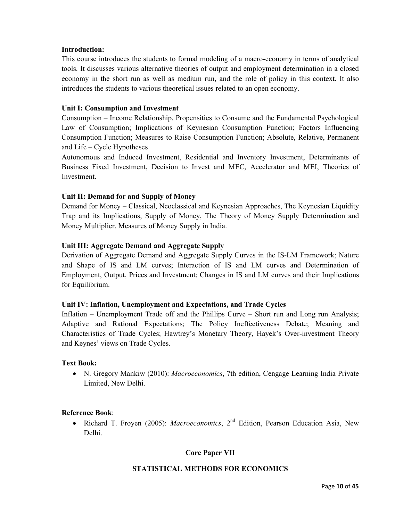## **Introduction:**

This course introduces the students to formal modeling of a macro-economy in terms of analytical tools. It discusses various alternative theories of output and employment determination in a closed economy in the short run as well as medium run, and the role of policy in this context. It also introduces the students to various theoretical issues related to an open economy.

## **Unit I: Consumption and Investment**

Consumption – Income Relationship, Propensities to Consume and the Fundamental Psychological Law of Consumption; Implications of Keynesian Consumption Function; Factors Influencing Consumption Function; Measures to Raise Consumption Function; Absolute, Relative, Permanent and Life – Cycle Hypotheses

Autonomous and Induced Investment, Residential and Inventory Investment, Determinants of Business Fixed Investment, Decision to Invest and MEC, Accelerator and MEI, Theories of Investment.

## **Unit II: Demand for and Supply of Money**

Demand for Money – Classical, Neoclassical and Keynesian Approaches, The Keynesian Liquidity Trap and its Implications, Supply of Money, The Theory of Money Supply Determination and Money Multiplier, Measures of Money Supply in India.

## **Unit III: Aggregate Demand and Aggregate Supply**

Derivation of Aggregate Demand and Aggregate Supply Curves in the IS-LM Framework; Nature and Shape of IS and LM curves; Interaction of IS and LM curves and Determination of Employment, Output, Prices and Investment; Changes in IS and LM curves and their Implications for Equilibrium.

## **Unit IV: Inflation, Unemployment and Expectations, and Trade Cycles**

Inflation – Unemployment Trade off and the Phillips Curve – Short run and Long run Analysis; Adaptive and Rational Expectations; The Policy Ineffectiveness Debate; Meaning and Characteristics of Trade Cycles; Hawtrey's Monetary Theory, Hayek's Over-investment Theory and Keynes' views on Trade Cycles.

## **Text Book:**

• N. Gregory Mankiw (2010): *Macroeconomics*, 7th edition, Cengage Learning India Private Limited, New Delhi.

## **Reference Book**:

• Richard T. Froyen (2005): *Macroeconomics*, 2<sup>nd</sup> Edition, Pearson Education Asia, New Delhi.

# **Core Paper VII**

## **STATISTICAL METHODS FOR ECONOMICS**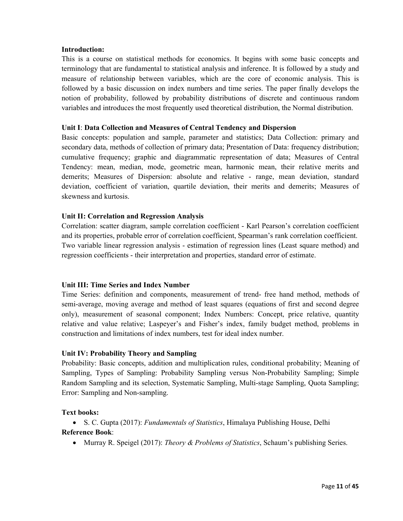## **Introduction:**

This is a course on statistical methods for economics. It begins with some basic concepts and terminology that are fundamental to statistical analysis and inference. It is followed by a study and measure of relationship between variables, which are the core of economic analysis. This is followed by a basic discussion on index numbers and time series. The paper finally develops the notion of probability, followed by probability distributions of discrete and continuous random variables and introduces the most frequently used theoretical distribution, the Normal distribution.

## **Unit I**: **Data Collection and Measures of Central Tendency and Dispersion**

Basic concepts: population and sample, parameter and statistics; Data Collection: primary and secondary data, methods of collection of primary data; Presentation of Data: frequency distribution; cumulative frequency; graphic and diagrammatic representation of data; Measures of Central Tendency: mean, median, mode, geometric mean, harmonic mean, their relative merits and demerits; Measures of Dispersion: absolute and relative - range, mean deviation, standard deviation, coefficient of variation, quartile deviation, their merits and demerits; Measures of skewness and kurtosis.

## **Unit II: Correlation and Regression Analysis**

Correlation: scatter diagram, sample correlation coefficient - Karl Pearson's correlation coefficient and its properties, probable error of correlation coefficient, Spearman's rank correlation coefficient. Two variable linear regression analysis - estimation of regression lines (Least square method) and regression coefficients - their interpretation and properties, standard error of estimate.

## **Unit III: Time Series and Index Number**

Time Series: definition and components, measurement of trend- free hand method, methods of semi-average, moving average and method of least squares (equations of first and second degree only), measurement of seasonal component; Index Numbers: Concept, price relative, quantity relative and value relative; Laspeyer's and Fisher's index, family budget method, problems in construction and limitations of index numbers, test for ideal index number.

# **Unit IV: Probability Theory and Sampling**

Probability: Basic concepts, addition and multiplication rules, conditional probability; Meaning of Sampling, Types of Sampling: Probability Sampling versus Non-Probability Sampling; Simple Random Sampling and its selection, Systematic Sampling, Multi-stage Sampling, Quota Sampling; Error: Sampling and Non-sampling.

## **Text books:**

• S. C. Gupta (2017): *Fundamentals of Statistics*, Himalaya Publishing House, Delhi

## **Reference Book**:

• Murray R. Speigel (2017): *Theory & Problems of Statistics*, Schaum's publishing Series.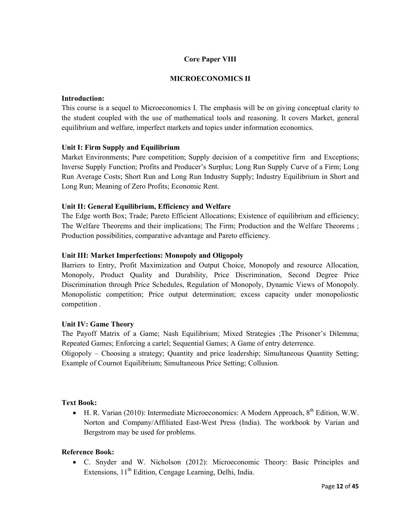## **Core Paper VIII**

## **MICROECONOMICS II**

#### **Introduction:**

This course is a sequel to Microeconomics I. The emphasis will be on giving conceptual clarity to the student coupled with the use of mathematical tools and reasoning. It covers Market, general equilibrium and welfare, imperfect markets and topics under information economics.

## **Unit I: Firm Supply and Equilibrium**

Market Environments; Pure competition; Supply decision of a competitive firm and Exceptions; Inverse Supply Function; Profits and Producer's Surplus; Long Run Supply Curve of a Firm; Long Run Average Costs; Short Run and Long Run Industry Supply; Industry Equilibrium in Short and Long Run; Meaning of Zero Profits; Economic Rent.

## **Unit II: General Equilibrium, Efficiency and Welfare**

The Edge worth Box; Trade; Pareto Efficient Allocations; Existence of equilibrium and efficiency; The Welfare Theorems and their implications; The Firm; Production and the Welfare Theorems ; Production possibilities, comparative advantage and Pareto efficiency.

## **Unit III: Market Imperfections: Monopoly and Oligopoly**

Barriers to Entry, Profit Maximization and Output Choice, Monopoly and resource Allocation, Monopoly, Product Quality and Durability, Price Discrimination, Second Degree Price Discrimination through Price Schedules, Regulation of Monopoly, Dynamic Views of Monopoly. Monopolistic competition; Price output determination; excess capacity under monopoliostic competition .

## **Unit IV: Game Theory**

The Payoff Matrix of a Game; Nash Equilibrium; Mixed Strategies ;The Prisoner's Dilemma; Repeated Games; Enforcing a cartel; Sequential Games; A Game of entry deterrence.

Oligopoly – Choosing a strategy; Quantity and price leadership; Simultaneous Quantity Setting; Example of Cournot Equilibrium; Simultaneous Price Setting; Collusion.

## **Text Book:**

• H. R. Varian (2010): Intermediate Microeconomics: A Modern Approach,  $8^{th}$  Edition, W.W. Norton and Company/Affiliated East-West Press (India). The workbook by Varian and Bergstrom may be used for problems.

## **Reference Book:**

• C. Snyder and W. Nicholson (2012): Microeconomic Theory: Basic Principles and Extensions,  $11<sup>th</sup>$  Edition, Cengage Learning, Delhi, India.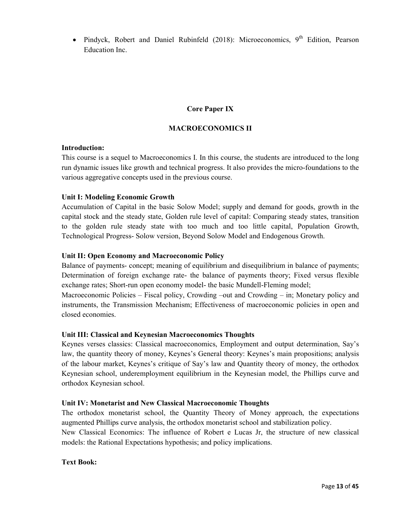• Pindyck, Robert and Daniel Rubinfeld  $(2018)$ : Microeconomics, 9<sup>th</sup> Edition, Pearson Education Inc.

# **Core Paper IX**

# **MACROECONOMICS II**

## **Introduction:**

This course is a sequel to Macroeconomics I. In this course, the students are introduced to the long run dynamic issues like growth and technical progress. It also provides the micro-foundations to the various aggregative concepts used in the previous course.

## **Unit I: Modeling Economic Growth**

Accumulation of Capital in the basic Solow Model; supply and demand for goods, growth in the capital stock and the steady state, Golden rule level of capital: Comparing steady states, transition to the golden rule steady state with too much and too little capital, Population Growth, Technological Progress- Solow version, Beyond Solow Model and Endogenous Growth.

## **Unit II: Open Economy and Macroeconomic Policy**

Balance of payments- concept; meaning of equilibrium and disequilibrium in balance of payments; Determination of foreign exchange rate- the balance of payments theory; Fixed versus flexible exchange rates; Short-run open economy model- the basic Mundell-Fleming model;

Macroeconomic Policies – Fiscal policy, Crowding –out and Crowding – in; Monetary policy and instruments, the Transmission Mechanism; Effectiveness of macroeconomic policies in open and closed economies.

# **Unit III: Classical and Keynesian Macroeconomics Thoughts**

Keynes verses classics: Classical macroeconomics, Employment and output determination, Say's law, the quantity theory of money, Keynes's General theory: Keynes's main propositions; analysis of the labour market, Keynes's critique of Say's law and Quantity theory of money, the orthodox Keynesian school, underemployment equilibrium in the Keynesian model, the Phillips curve and orthodox Keynesian school.

# **Unit IV: Monetarist and New Classical Macroeconomic Thoughts**

The orthodox monetarist school, the Quantity Theory of Money approach, the expectations augmented Phillips curve analysis, the orthodox monetarist school and stabilization policy.

New Classical Economics: The influence of Robert e Lucas Jr, the structure of new classical models: the Rational Expectations hypothesis; and policy implications.

## **Text Book:**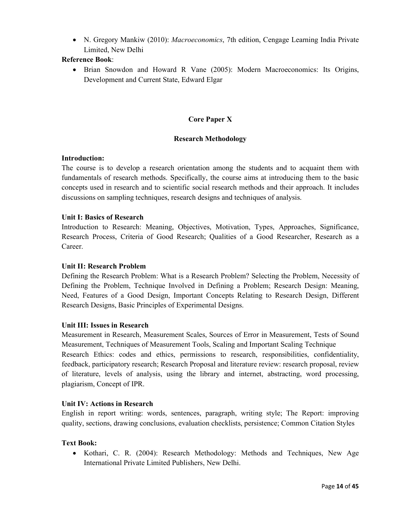• N. Gregory Mankiw (2010): *Macroeconomics*, 7th edition, Cengage Learning India Private Limited, New Delhi

# **Reference Book**:

• Brian Snowdon and Howard R Vane (2005): Modern Macroeconomics: Its Origins, Development and Current State, Edward Elgar

# **Core Paper X**

## **Research Methodology**

## **Introduction:**

The course is to develop a research orientation among the students and to acquaint them with fundamentals of research methods. Specifically, the course aims at introducing them to the basic concepts used in research and to scientific social research methods and their approach. It includes discussions on sampling techniques, research designs and techniques of analysis.

## **Unit I: Basics of Research**

Introduction to Research: Meaning, Objectives, Motivation, Types, Approaches, Significance, Research Process, Criteria of Good Research; Qualities of a Good Researcher, Research as a Career.

## **Unit II: Research Problem**

Defining the Research Problem: What is a Research Problem? Selecting the Problem, Necessity of Defining the Problem, Technique Involved in Defining a Problem; Research Design: Meaning, Need, Features of a Good Design, Important Concepts Relating to Research Design, Different Research Designs, Basic Principles of Experimental Designs.

## **Unit III: Issues in Research**

Measurement in Research, Measurement Scales, Sources of Error in Measurement, Tests of Sound Measurement, Techniques of Measurement Tools, Scaling and Important Scaling Technique Research Ethics: codes and ethics, permissions to research, responsibilities, confidentiality, feedback, participatory research; Research Proposal and literature review: research proposal, review of literature, levels of analysis, using the library and internet, abstracting, word processing, plagiarism, Concept of IPR.

## **Unit IV: Actions in Research**

English in report writing: words, sentences, paragraph, writing style; The Report: improving quality, sections, drawing conclusions, evaluation checklists, persistence; Common Citation Styles

## **Text Book:**

• Kothari, C. R. (2004): Research Methodology: Methods and Techniques, New Age International Private Limited Publishers, New Delhi.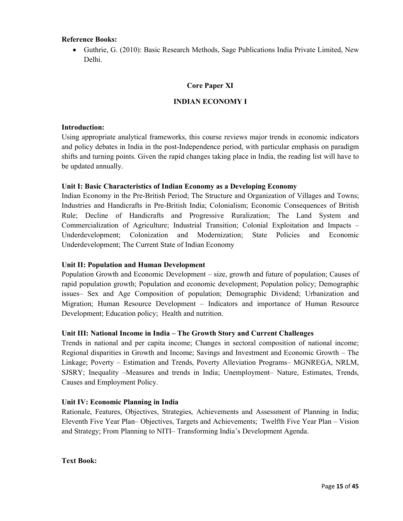## **Reference Books:**

• Guthrie, G. (2010): Basic Research Methods, Sage Publications India Private Limited, New Delhi.

## **Core Paper XI**

## **INDIAN ECONOMY I**

#### **Introduction:**

Using appropriate analytical frameworks, this course reviews major trends in economic indicators and policy debates in India in the post-Independence period, with particular emphasis on paradigm shifts and turning points. Given the rapid changes taking place in India, the reading list will have to be updated annually.

## **Unit I: Basic Characteristics of Indian Economy as a Developing Economy**

Indian Economy in the Pre-British Period; The Structure and Organization of Villages and Towns; Industries and Handicrafts in Pre-British India; Colonialism; Economic Consequences of British Rule; Decline of Handicrafts and Progressive Ruralization; The Land System and Commercialization of Agriculture; Industrial Transition; Colonial Exploitation and Impacts – Underdevelopment; Colonization and Modernization; State Policies and Economic Underdevelopment; The Current State of Indian Economy

## **Unit II: Population and Human Development**

Population Growth and Economic Development – size, growth and future of population; Causes of rapid population growth; Population and economic development; Population policy; Demographic issues– Sex and Age Composition of population; Demographic Dividend; Urbanization and Migration; Human Resource Development – Indicators and importance of Human Resource Development; Education policy; Health and nutrition.

## **Unit III: National Income in India – The Growth Story and Current Challenges**

Trends in national and per capita income; Changes in sectoral composition of national income; Regional disparities in Growth and Income; Savings and Investment and Economic Growth – The Linkage; Poverty – Estimation and Trends, Poverty Alleviation Programs– MGNREGA, NRLM, SJSRY; Inequality –Measures and trends in India; Unemployment– Nature, Estimates, Trends, Causes and Employment Policy.

## **Unit IV: Economic Planning in India**

Rationale, Features, Objectives, Strategies, Achievements and Assessment of Planning in India; Eleventh Five Year Plan– Objectives, Targets and Achievements; Twelfth Five Year Plan – Vision and Strategy; From Planning to NITI– Transforming India's Development Agenda.

**Text Book:**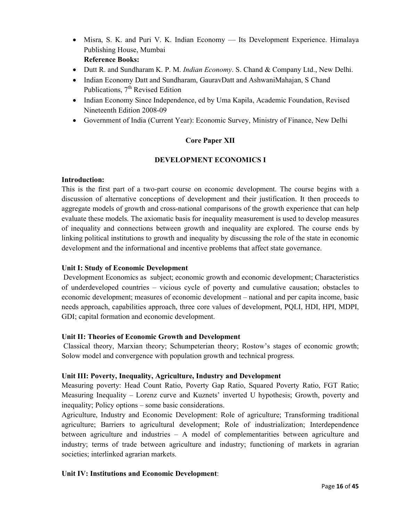- Misra, S. K. and Puri V. K. Indian Economy Its Development Experience. Himalaya Publishing House, Mumbai **Reference Books:**
- Dutt R. and Sundharam K. P. M. *Indian Economy*. S. Chand & Company Ltd., New Delhi.
- Indian Economy Datt and Sundharam, GauravDatt and AshwaniMahajan, S Chand Publications, 7<sup>th</sup> Revised Edition
- Indian Economy Since Independence, ed by Uma Kapila, Academic Foundation, Revised Nineteenth Edition 2008-09
- Government of India (Current Year): Economic Survey, Ministry of Finance, New Delhi

# **Core Paper XII**

# **DEVELOPMENT ECONOMICS I**

## **Introduction:**

This is the first part of a two-part course on economic development. The course begins with a discussion of alternative conceptions of development and their justification. It then proceeds to aggregate models of growth and cross-national comparisons of the growth experience that can help evaluate these models. The axiomatic basis for inequality measurement is used to develop measures of inequality and connections between growth and inequality are explored. The course ends by linking political institutions to growth and inequality by discussing the role of the state in economic development and the informational and incentive problems that affect state governance.

# **Unit I: Study of Economic Development**

 Development Economics as subject; economic growth and economic development; Characteristics of underdeveloped countries – vicious cycle of poverty and cumulative causation; obstacles to economic development; measures of economic development – national and per capita income, basic needs approach, capabilities approach, three core values of development, PQLI, HDI, HPI, MDPI, GDI; capital formation and economic development.

# **Unit II: Theories of Economic Growth and Development**

 Classical theory, Marxian theory; Schumpeterian theory; Rostow's stages of economic growth; Solow model and convergence with population growth and technical progress.

## **Unit III: Poverty, Inequality, Agriculture, Industry and Development**

Measuring poverty: Head Count Ratio, Poverty Gap Ratio, Squared Poverty Ratio, FGT Ratio; Measuring Inequality – Lorenz curve and Kuznets' inverted U hypothesis; Growth, poverty and inequality; Policy options – some basic considerations.

Agriculture, Industry and Economic Development: Role of agriculture; Transforming traditional agriculture; Barriers to agricultural development; Role of industrialization; Interdependence between agriculture and industries – A model of complementarities between agriculture and industry; terms of trade between agriculture and industry; functioning of markets in agrarian societies; interlinked agrarian markets.

# **Unit IV: Institutions and Economic Development**: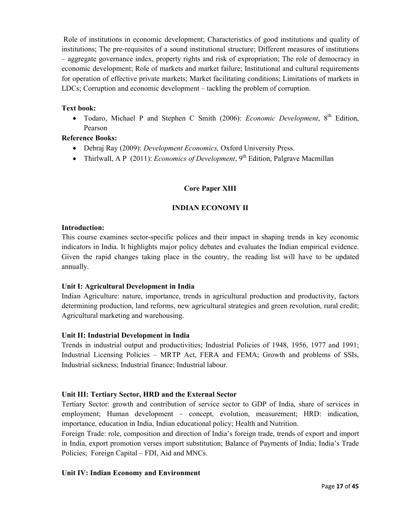Role of institutions in economic development; Characteristics of good institutions and quality of institutions; The pre-requisites of a sound institutional structure; Different measures of institutions – aggregate governance index, property rights and risk of expropriation; The role of democracy in economic development; Role of markets and market failure; Institutional and cultural requirements for operation of effective private markets; Market facilitating conditions; Limitations of markets in LDCs; Corruption and economic development – tackling the problem of corruption.

# **Text book:**

• Todaro, Michael P and Stephen C Smith (2006): *Economic Development*, 8<sup>th</sup> Edition, Pearson

# **Reference Books:**

- Debraj Ray (2009): *Development Economics,* Oxford University Press.
- Thirlwall, A P (2011): *Economics of Development*, 9<sup>th</sup> Edition, Palgrave Macmillan

# **Core Paper XIII**

# **INDIAN ECONOMY II**

## **Introduction:**

This course examines sector-specific polices and their impact in shaping trends in key economic indicators in India. It highlights major policy debates and evaluates the Indian empirical evidence. Given the rapid changes taking place in the country, the reading list will have to be updated annually.

# **Unit I: Agricultural Development in India**

Indian Agriculture: nature, importance, trends in agricultural production and productivity, factors determining production, land reforms, new agricultural strategies and green revolution, rural credit; Agricultural marketing and warehousing.

# **Unit II: Industrial Development in India**

Trends in industrial output and productivities; Industrial Policies of 1948, 1956, 1977 and 1991; Industrial Licensing Policies – MRTP Act, FERA and FEMA; Growth and problems of SSIs, Industrial sickness; Industrial finance; Industrial labour.

# **Unit III: Tertiary Sector, HRD and the External Sector**

Tertiary Sector: growth and contribution of service sector to GDP of India, share of services in employment; Human development – concept, evolution, measurement; HRD: indication, importance, education in India, Indian educational policy; Health and Nutrition.

Foreign Trade: role, composition and direction of India's foreign trade, trends of export and import in India, export promotion verses import substitution; Balance of Payments of India; India's Trade Policies; Foreign Capital – FDI, Aid and MNCs.

# **Unit IV: Indian Economy and Environment**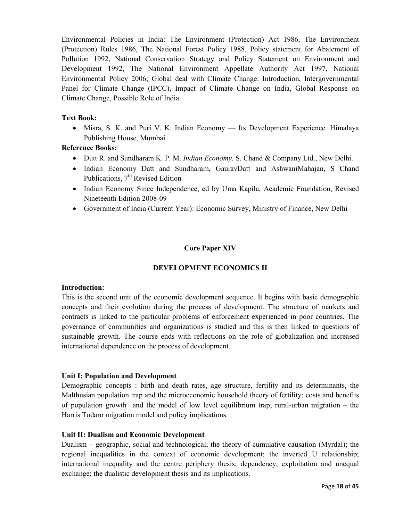Environmental Policies in India: The Environment (Protection) Act 1986, The Environment (Protection) Rules 1986, The National Forest Policy 1988, Policy statement for Abatement of Pollution 1992, National Conservation Strategy and Policy Statement on Environment and Development 1992, The National Environment Appellate Authority Act 1997, National Environmental Policy 2006; Global deal with Climate Change: Introduction, Intergovernmental Panel for Climate Change (IPCC), Impact of Climate Change on India, Global Response on Climate Change, Possible Role of India.

# **Text Book:**

• Misra, S. K. and Puri V. K. Indian Economy — Its Development Experience. Himalaya Publishing House, Mumbai

## **Reference Books:**

- Dutt R. and Sundharam K. P. M. *Indian Economy*. S. Chand & Company Ltd., New Delhi.
- Indian Economy Datt and Sundharam, GauravDatt and AshwaniMahajan, S Chand Publications,  $7<sup>th</sup>$  Revised Edition
- Indian Economy Since Independence, ed by Uma Kapila, Academic Foundation, Revised Nineteenth Edition 2008-09
- Government of India (Current Year): Economic Survey, Ministry of Finance, New Delhi

## **Core Paper XIV**

## **DEVELOPMENT ECONOMICS II**

## **Introduction:**

This is the second unit of the economic development sequence. It begins with basic demographic concepts and their evolution during the process of development. The structure of markets and contracts is linked to the particular problems of enforcement experienced in poor countries. The governance of communities and organizations is studied and this is then linked to questions of sustainable growth. The course ends with reflections on the role of globalization and increased international dependence on the process of development.

## **Unit I: Population and Development**

Demographic concepts : birth and death rates, age structure, fertility and its determinants, the Malthusian population trap and the microeconomic household theory of fertility; costs and benefits of population growth and the model of low level equilibrium trap; rural-urban migration – the Harris Todaro migration model and policy implications.

## **Unit II: Dualism and Economic Development**

Dualism – geographic, social and technological; the theory of cumulative causation (Myrdal); the regional inequalities in the context of economic development; the inverted U relationship; international inequality and the centre periphery thesis; dependency, exploitation and unequal exchange; the dualistic development thesis and its implications.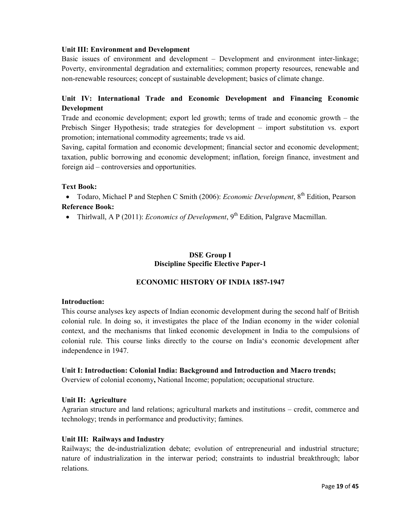## **Unit III: Environment and Development**

Basic issues of environment and development – Development and environment inter-linkage; Poverty, environmental degradation and externalities; common property resources, renewable and non-renewable resources; concept of sustainable development; basics of climate change.

# **Unit IV: International Trade and Economic Development and Financing Economic Development**

Trade and economic development; export led growth; terms of trade and economic growth – the Prebisch Singer Hypothesis; trade strategies for development – import substitution vs. export promotion; international commodity agreements; trade vs aid.

Saving, capital formation and economic development; financial sector and economic development; taxation, public borrowing and economic development; inflation, foreign finance, investment and foreign aid – controversies and opportunities.

## **Text Book:**

• Todaro, Michael P and Stephen C Smith (2006): *Economic Development*, 8<sup>th</sup> Edition, Pearson **Reference Book:** 

• Thirlwall, A P (2011): *Economics of Development*, 9<sup>th</sup> Edition, Palgrave Macmillan.

# **DSE Group I Discipline Specific Elective Paper-1**

# **ECONOMIC HISTORY OF INDIA 1857-1947**

## **Introduction:**

This course analyses key aspects of Indian economic development during the second half of British colonial rule. In doing so, it investigates the place of the Indian economy in the wider colonial context, and the mechanisms that linked economic development in India to the compulsions of colonial rule. This course links directly to the course on India's economic development after independence in 1947.

## **Unit I: Introduction: Colonial India: Background and Introduction and Macro trends;**

Overview of colonial economy**,** National Income; population; occupational structure.

# **Unit II: Agriculture**

Agrarian structure and land relations; agricultural markets and institutions – credit, commerce and technology; trends in performance and productivity; famines.

## **Unit III: Railways and Industry**

Railways; the de-industrialization debate; evolution of entrepreneurial and industrial structure; nature of industrialization in the interwar period; constraints to industrial breakthrough; labor relations.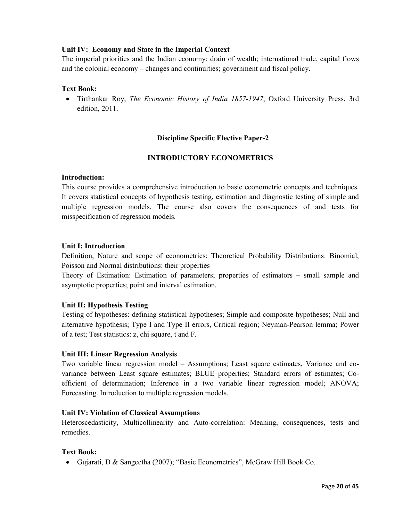## **Unit IV: Economy and State in the Imperial Context**

The imperial priorities and the Indian economy; drain of wealth; international trade, capital flows and the colonial economy – changes and continuities; government and fiscal policy.

## **Text Book:**

• Tirthankar Roy, *The Economic History of India 1857-1947*, Oxford University Press, 3rd edition, 2011.

## **Discipline Specific Elective Paper-2**

## **INTRODUCTORY ECONOMETRICS**

## **Introduction:**

This course provides a comprehensive introduction to basic econometric concepts and techniques. It covers statistical concepts of hypothesis testing, estimation and diagnostic testing of simple and multiple regression models. The course also covers the consequences of and tests for misspecification of regression models.

## **Unit I: Introduction**

Definition, Nature and scope of econometrics; Theoretical Probability Distributions: Binomial, Poisson and Normal distributions: their properties

Theory of Estimation: Estimation of parameters; properties of estimators – small sample and asymptotic properties; point and interval estimation.

## **Unit II: Hypothesis Testing**

Testing of hypotheses: defining statistical hypotheses; Simple and composite hypotheses; Null and alternative hypothesis; Type I and Type II errors, Critical region; Neyman-Pearson lemma; Power of a test; Test statistics: z, chi square, t and F.

## **Unit III: Linear Regression Analysis**

Two variable linear regression model – Assumptions; Least square estimates, Variance and covariance between Least square estimates; BLUE properties; Standard errors of estimates; Coefficient of determination; Inference in a two variable linear regression model; ANOVA; Forecasting. Introduction to multiple regression models.

#### **Unit IV: Violation of Classical Assumptions**

Heteroscedasticity, Multicollinearity and Auto-correlation: Meaning, consequences, tests and remedies.

## **Text Book:**

• Gujarati, D & Sangeetha (2007); "Basic Econometrics", McGraw Hill Book Co.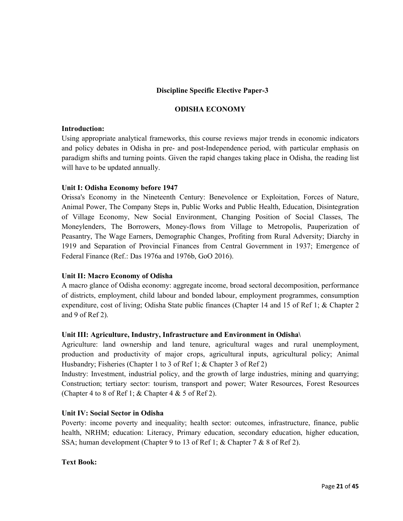## **Discipline Specific Elective Paper-3**

## **ODISHA ECONOMY**

#### **Introduction:**

Using appropriate analytical frameworks, this course reviews major trends in economic indicators and policy debates in Odisha in pre- and post-Independence period, with particular emphasis on paradigm shifts and turning points. Given the rapid changes taking place in Odisha, the reading list will have to be updated annually.

## **Unit I: Odisha Economy before 1947**

Orissa's Economy in the Nineteenth Century: Benevolence or Exploitation, Forces of Nature, Animal Power, The Company Steps in, Public Works and Public Health, Education, Disintegration of Village Economy, New Social Environment, Changing Position of Social Classes, The Moneylenders, The Borrowers, Money-flows from Village to Metropolis, Pauperization of Peasantry, The Wage Earners, Demographic Changes, Profiting from Rural Adversity; Diarchy in 1919 and Separation of Provincial Finances from Central Government in 1937; Emergence of Federal Finance (Ref.: Das 1976a and 1976b, GoO 2016).

## **Unit II: Macro Economy of Odisha**

A macro glance of Odisha economy: aggregate income, broad sectoral decomposition, performance of districts, employment, child labour and bonded labour, employment programmes, consumption expenditure, cost of living; Odisha State public finances (Chapter 14 and 15 of Ref 1; & Chapter 2 and 9 of Ref 2).

## **Unit III: Agriculture, Industry, Infrastructure and Environment in Odisha\**

Agriculture: land ownership and land tenure, agricultural wages and rural unemployment, production and productivity of major crops, agricultural inputs, agricultural policy; Animal Husbandry; Fisheries (Chapter 1 to 3 of Ref 1; & Chapter 3 of Ref 2)

Industry: Investment, industrial policy, and the growth of large industries, mining and quarrying; Construction; tertiary sector: tourism, transport and power; Water Resources, Forest Resources (Chapter 4 to 8 of Ref 1;  $&$  Chapter 4  $&$  5 of Ref 2).

## **Unit IV: Social Sector in Odisha**

Poverty: income poverty and inequality; health sector: outcomes, infrastructure, finance, public health, NRHM; education: Literacy, Primary education, secondary education, higher education, SSA; human development (Chapter 9 to 13 of Ref 1; & Chapter 7 & 8 of Ref 2).

#### **Text Book:**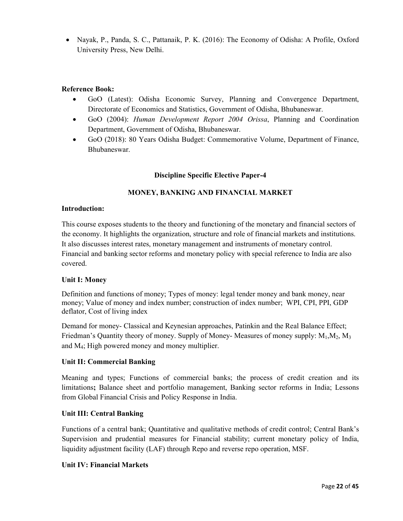• Nayak, P., Panda, S. C., Pattanaik, P. K. (2016): The Economy of Odisha: A Profile, Oxford University Press, New Delhi.

# **Reference Book:**

- GoO (Latest): Odisha Economic Survey, Planning and Convergence Department, Directorate of Economics and Statistics, Government of Odisha, Bhubaneswar.
- GoO (2004): *Human Development Report 2004 Orissa*, Planning and Coordination Department, Government of Odisha, Bhubaneswar.
- GoO (2018): 80 Years Odisha Budget: Commemorative Volume, Department of Finance, Bhubaneswar.

# **Discipline Specific Elective Paper-4**

# **MONEY, BANKING AND FINANCIAL MARKET**

## **Introduction:**

This course exposes students to the theory and functioning of the monetary and financial sectors of the economy. It highlights the organization, structure and role of financial markets and institutions. It also discusses interest rates, monetary management and instruments of monetary control. Financial and banking sector reforms and monetary policy with special reference to India are also covered.

## **Unit I: Money**

Definition and functions of money; Types of money: legal tender money and bank money, near money; Value of money and index number; construction of index number; WPI, CPI, PPI, GDP deflator, Cost of living index

Demand for money- Classical and Keynesian approaches, Patinkin and the Real Balance Effect; Friedman's Quantity theory of money. Supply of Money- Measures of money supply:  $M_1, M_2, M_3$ and M4; High powered money and money multiplier.

# **Unit II: Commercial Banking**

Meaning and types; Functions of commercial banks; the process of credit creation and its limitations**;** Balance sheet and portfolio management, Banking sector reforms in India; Lessons from Global Financial Crisis and Policy Response in India.

## **Unit III: Central Banking**

Functions of a central bank; Quantitative and qualitative methods of credit control; Central Bank's Supervision and prudential measures for Financial stability; current monetary policy of India, liquidity adjustment facility (LAF) through Repo and reverse repo operation, MSF.

## **Unit IV: Financial Markets**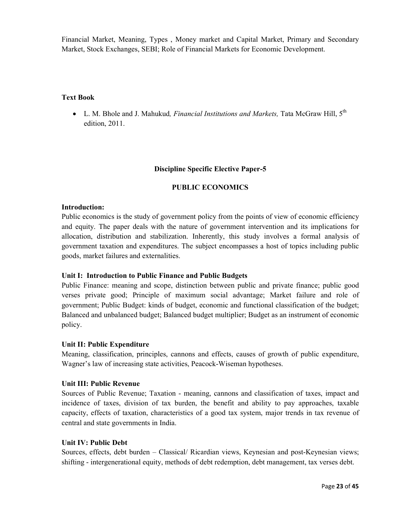Financial Market, Meaning, Types , Money market and Capital Market, Primary and Secondary Market, Stock Exchanges, SEBI; Role of Financial Markets for Economic Development.

## **Text Book**

• L. M. Bhole and J. Mahukud*, Financial Institutions and Markets,* Tata McGraw Hill, 5th edition, 2011.

## **Discipline Specific Elective Paper-5**

#### **PUBLIC ECONOMICS**

#### **Introduction:**

Public economics is the study of government policy from the points of view of economic efficiency and equity. The paper deals with the nature of government intervention and its implications for allocation, distribution and stabilization. Inherently, this study involves a formal analysis of government taxation and expenditures. The subject encompasses a host of topics including public goods, market failures and externalities.

## **Unit I: Introduction to Public Finance and Public Budgets**

Public Finance: meaning and scope, distinction between public and private finance; public good verses private good; Principle of maximum social advantage; Market failure and role of government; Public Budget: kinds of budget, economic and functional classification of the budget; Balanced and unbalanced budget; Balanced budget multiplier; Budget as an instrument of economic policy.

#### **Unit II: Public Expenditure**

Meaning, classification, principles, cannons and effects, causes of growth of public expenditure, Wagner's law of increasing state activities, Peacock-Wiseman hypotheses.

#### **Unit III: Public Revenue**

Sources of Public Revenue; Taxation - meaning, cannons and classification of taxes, impact and incidence of taxes, division of tax burden, the benefit and ability to pay approaches, taxable capacity, effects of taxation, characteristics of a good tax system, major trends in tax revenue of central and state governments in India.

#### **Unit IV: Public Debt**

Sources, effects, debt burden – Classical/ Ricardian views, Keynesian and post-Keynesian views; shifting - intergenerational equity, methods of debt redemption, debt management, tax verses debt.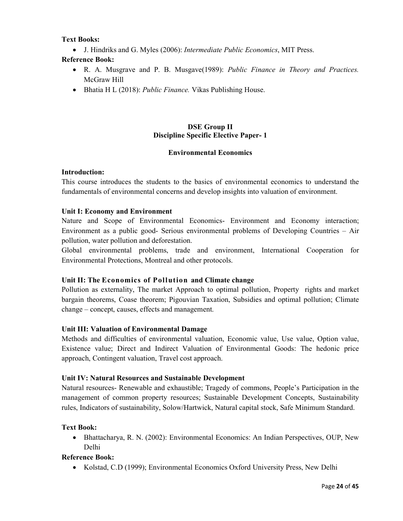# **Text Books:**

• J. Hindriks and G. Myles (2006): *Intermediate Public Economics*, MIT Press.

# **Reference Book:**

- R. A. Musgrave and P. B. Musgave(1989): *Public Finance in Theory and Practices.*  McGraw Hill
- Bhatia H L (2018): *Public Finance.* Vikas Publishing House.

# **DSE Group II Discipline Specific Elective Paper- 1**

## **Environmental Economics**

## **Introduction:**

This course introduces the students to the basics of environmental economics to understand the fundamentals of environmental concerns and develop insights into valuation of environment.

## **Unit I: Economy and Environment**

Nature and Scope of Environmental Economics- Environment and Economy interaction; Environment as a public good- Serious environmental problems of Developing Countries – Air pollution, water pollution and deforestation.

Global environmental problems, trade and environment, International Cooperation for Environmental Protections, Montreal and other protocols.

# **Unit II: The Economics of Pollution and Climate change**

Pollution as externality, The market Approach to optimal pollution, Property rights and market bargain theorems, Coase theorem; Pigouvian Taxation, Subsidies and optimal pollution; Climate change – concept, causes, effects and management.

# **Unit III: Valuation of Environmental Damage**

Methods and difficulties of environmental valuation, Economic value, Use value, Option value, Existence value; Direct and Indirect Valuation of Environmental Goods: The hedonic price approach, Contingent valuation, Travel cost approach.

## **Unit IV: Natural Resources and Sustainable Development**

Natural resources- Renewable and exhaustible; Tragedy of commons, People's Participation in the management of common property resources; Sustainable Development Concepts, Sustainability rules, Indicators of sustainability, Solow/Hartwick, Natural capital stock, Safe Minimum Standard.

## **Text Book:**

• Bhattacharya, R. N. (2002): Environmental Economics: An Indian Perspectives, OUP, New Delhi

# **Reference Book:**

• Kolstad, C.D (1999); Environmental Economics Oxford University Press, New Delhi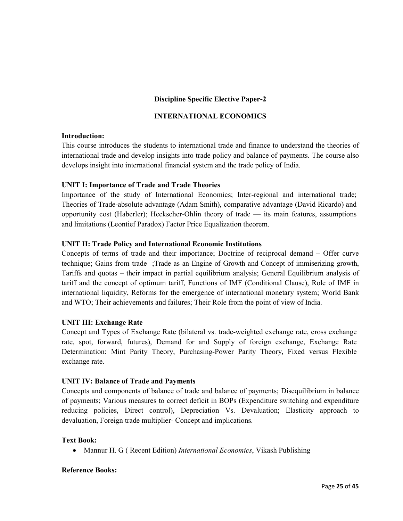# **Discipline Specific Elective Paper-2**

## **INTERNATIONAL ECONOMICS**

## **Introduction:**

This course introduces the students to international trade and finance to understand the theories of international trade and develop insights into trade policy and balance of payments. The course also develops insight into international financial system and the trade policy of India.

## **UNIT I: Importance of Trade and Trade Theories**

Importance of the study of International Economics; Inter-regional and international trade; Theories of Trade-absolute advantage (Adam Smith), comparative advantage (David Ricardo) and opportunity cost (Haberler); Heckscher-Ohlin theory of trade — its main features, assumptions and limitations (Leontief Paradox) Factor Price Equalization theorem.

## **UNIT II: Trade Policy and International Economic Institutions**

Concepts of terms of trade and their importance; Doctrine of reciprocal demand – Offer curve technique; Gains from trade ;Trade as an Engine of Growth and Concept of immiserizing growth, Tariffs and quotas – their impact in partial equilibrium analysis; General Equilibrium analysis of tariff and the concept of optimum tariff, Functions of IMF (Conditional Clause), Role of IMF in international liquidity, Reforms for the emergence of international monetary system; World Bank and WTO; Their achievements and failures; Their Role from the point of view of India.

# **UNIT III: Exchange Rate**

Concept and Types of Exchange Rate (bilateral vs. trade-weighted exchange rate, cross exchange rate, spot, forward, futures), Demand for and Supply of foreign exchange, Exchange Rate Determination: Mint Parity Theory, Purchasing-Power Parity Theory, Fixed versus Flexible exchange rate.

## **UNIT IV: Balance of Trade and Payments**

Concepts and components of balance of trade and balance of payments; Disequilibrium in balance of payments; Various measures to correct deficit in BOPs (Expenditure switching and expenditure reducing policies, Direct control), Depreciation Vs. Devaluation; Elasticity approach to devaluation, Foreign trade multiplier- Concept and implications.

## **Text Book:**

• Mannur H. G ( Recent Edition) *International Economics*, Vikash Publishing

## **Reference Books:**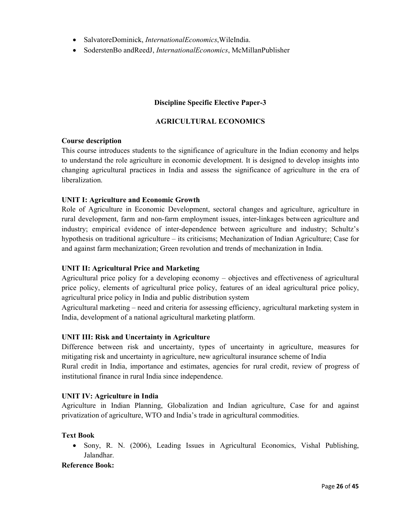- SalvatoreDominick, *InternationalEconomics*,WileIndia.
- SoderstenBo andReedJ, *InternationalEconomics*, McMillanPublisher

## **Discipline Specific Elective Paper-3**

## **AGRICULTURAL ECONOMICS**

#### **Course description**

This course introduces students to the significance of agriculture in the Indian economy and helps to understand the role agriculture in economic development. It is designed to develop insights into changing agricultural practices in India and assess the significance of agriculture in the era of liberalization.

## **UNIT I: Agriculture and Economic Growth**

Role of Agriculture in Economic Development, sectoral changes and agriculture, agriculture in rural development, farm and non-farm employment issues, inter-linkages between agriculture and industry; empirical evidence of inter-dependence between agriculture and industry; Schultz's hypothesis on traditional agriculture – its criticisms; Mechanization of Indian Agriculture; Case for and against farm mechanization; Green revolution and trends of mechanization in India.

## **UNIT II: Agricultural Price and Marketing**

Agricultural price policy for a developing economy – objectives and effectiveness of agricultural price policy, elements of agricultural price policy, features of an ideal agricultural price policy, agricultural price policy in India and public distribution system

Agricultural marketing – need and criteria for assessing efficiency, agricultural marketing system in India, development of a national agricultural marketing platform.

## **UNIT III: Risk and Uncertainty in Agriculture**

Difference between risk and uncertainty, types of uncertainty in agriculture, measures for mitigating risk and uncertainty in agriculture, new agricultural insurance scheme of India Rural credit in India, importance and estimates, agencies for rural credit, review of progress of institutional finance in rural India since independence.

## **UNIT IV: Agriculture in India**

Agriculture in Indian Planning, Globalization and Indian agriculture, Case for and against privatization of agriculture, WTO and India's trade in agricultural commodities.

#### **Text Book**

• Sony, R. N. (2006), Leading Issues in Agricultural Economics, Vishal Publishing, Jalandhar.

**Reference Book:**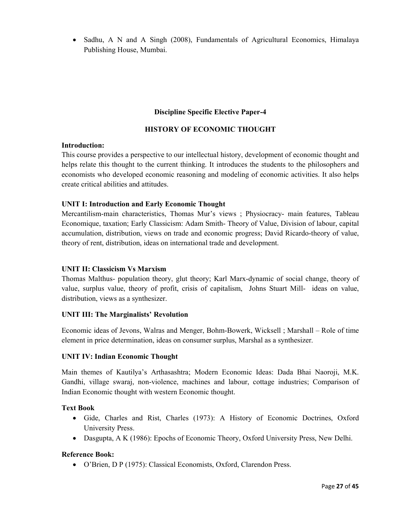• Sadhu, A N and A Singh (2008), Fundamentals of Agricultural Economics, Himalaya Publishing House, Mumbai.

# **Discipline Specific Elective Paper-4**

# **HISTORY OF ECONOMIC THOUGHT**

## **Introduction:**

This course provides a perspective to our intellectual history, development of economic thought and helps relate this thought to the current thinking. It introduces the students to the philosophers and economists who developed economic reasoning and modeling of economic activities. It also helps create critical abilities and attitudes.

## **UNIT I: Introduction and Early Economic Thought**

Mercantilism-main characteristics, Thomas Mur's views ; Physiocracy- main features, Tableau Economique, taxation; Early Classicism: Adam Smith- Theory of Value, Division of labour, capital accumulation, distribution, views on trade and economic progress; David Ricardo-theory of value, theory of rent, distribution, ideas on international trade and development.

## **UNIT II: Classicism Vs Marxism**

Thomas Malthus- population theory, glut theory; Karl Marx-dynamic of social change, theory of value, surplus value, theory of profit, crisis of capitalism, Johns Stuart Mill- ideas on value, distribution, views as a synthesizer.

## **UNIT III: The Marginalists' Revolution**

Economic ideas of Jevons, Walras and Menger, Bohm-Bowerk, Wicksell ; Marshall – Role of time element in price determination, ideas on consumer surplus, Marshal as a synthesizer.

## **UNIT IV: Indian Economic Thought**

Main themes of Kautilya's Arthasashtra; Modern Economic Ideas: Dada Bhai Naoroji, M.K. Gandhi, village swaraj, non-violence, machines and labour, cottage industries; Comparison of Indian Economic thought with western Economic thought.

## **Text Book**

- Gide, Charles and Rist, Charles (1973): A History of Economic Doctrines, Oxford University Press.
- Dasgupta, A K (1986): Epochs of Economic Theory, Oxford University Press, New Delhi.

## **Reference Book:**

• O'Brien, D P (1975): Classical Economists, Oxford, Clarendon Press.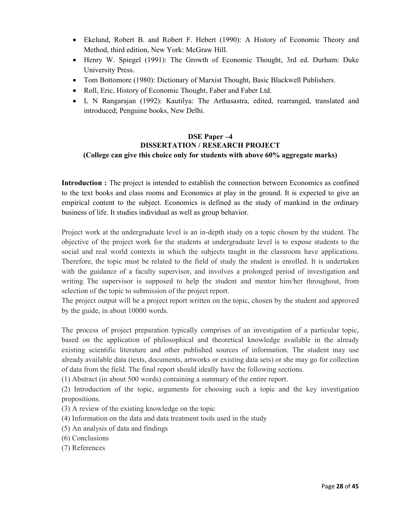- Ekelund, Robert B. and Robert F. Hebert (1990): A History of Economic Theory and Method, third edition, New York: McGraw Hill.
- Henry W. Spiegel (1991): The Growth of Economic Thought, 3rd ed. Durham: Duke University Press.
- Tom Bottomore (1980): Dictionary of Marxist Thought, Basic Blackwell Publishers.
- Roll, Eric, History of Economic Thought, Faber and Faber Ltd.
- L N Rangarajan (1992): Kautilya: The Arthasastra, edited, rearranged, translated and introduced; Penguine books, New Delhi.

# **DSE Paper –4 DISSERTATION / RESEARCH PROJECT (College can give this choice only for students with above 60% aggregate marks)**

**Introduction :** The project is intended to establish the connection between Economics as confined to the text books and class rooms and Economics at play in the ground. It is expected to give an empirical content to the subject. Economics is defined as the study of mankind in the ordinary business of life. It studies individual as well as group behavior.

Project work at the undergraduate level is an in-depth study on a topic chosen by the student. The objective of the project work for the students at undergraduate level is to expose students to the social and real world contexts in which the subjects taught in the classroom have applications. Therefore, the topic must be related to the field of study the student is enrolled. It is undertaken with the guidance of a faculty supervisor, and involves a prolonged period of investigation and writing. The supervisor is supposed to help the student and mentor him/her throughout, from selection of the topic to submission of the project report.

The project output will be a project report written on the topic, chosen by the student and approved by the guide, in about 10000 words.

The process of project preparation typically comprises of an investigation of a particular topic, based on the application of philosophical and theoretical knowledge available in the already existing scientific literature and other published sources of information. The student may use already available data (texts, documents, artworks or existing data sets) or she may go for collection of data from the field. The final report should ideally have the following sections.

(1) Abstract (in about 500 words) containing a summary of the entire report.

(2) Introduction of the topic, arguments for choosing such a topic and the key investigation propositions.

- (3) A review of the existing knowledge on the topic
- (4) Information on the data and data treatment tools used in the study
- (5) An analysis of data and findings
- (6) Conclusions
- (7) References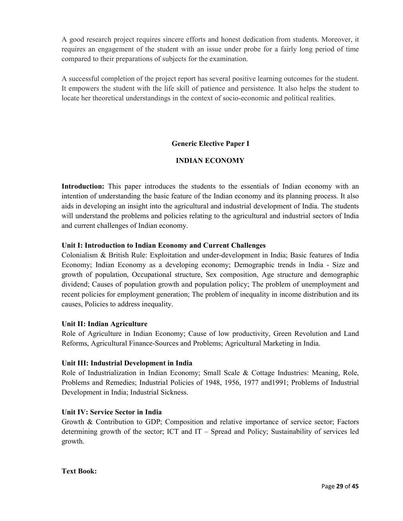A good research project requires sincere efforts and honest dedication from students. Moreover, it requires an engagement of the student with an issue under probe for a fairly long period of time compared to their preparations of subjects for the examination.

A successful completion of the project report has several positive learning outcomes for the student. It empowers the student with the life skill of patience and persistence. It also helps the student to locate her theoretical understandings in the context of socio-economic and political realities.

# **Generic Elective Paper I**

# **INDIAN ECONOMY**

**Introduction:** This paper introduces the students to the essentials of Indian economy with an intention of understanding the basic feature of the Indian economy and its planning process. It also aids in developing an insight into the agricultural and industrial development of India. The students will understand the problems and policies relating to the agricultural and industrial sectors of India and current challenges of Indian economy.

## **Unit I: Introduction to Indian Economy and Current Challenges**

Colonialism & British Rule: Exploitation and under-development in India; Basic features of India Economy; Indian Economy as a developing economy; Demographic trends in India - Size and growth of population, Occupational structure, Sex composition, Age structure and demographic dividend; Causes of population growth and population policy; The problem of unemployment and recent policies for employment generation; The problem of inequality in income distribution and its causes, Policies to address inequality.

## **Unit II: Indian Agriculture**

Role of Agriculture in Indian Economy; Cause of low productivity, Green Revolution and Land Reforms, Agricultural Finance-Sources and Problems; Agricultural Marketing in India.

## **Unit III: Industrial Development in India**

Role of Industrialization in Indian Economy; Small Scale & Cottage Industries: Meaning, Role, Problems and Remedies; Industrial Policies of 1948, 1956, 1977 and1991; Problems of Industrial Development in India; Industrial Sickness.

## **Unit IV: Service Sector in India**

Growth & Contribution to GDP; Composition and relative importance of service sector; Factors determining growth of the sector; ICT and IT – Spread and Policy; Sustainability of services led growth.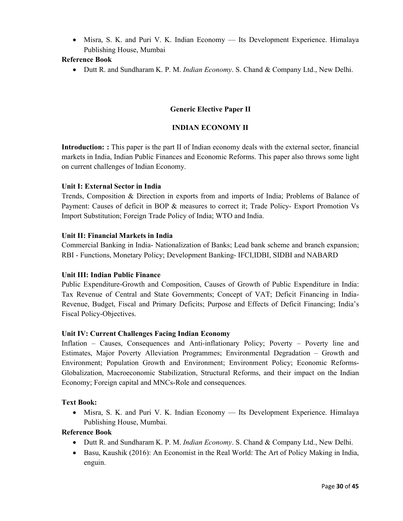• Misra, S. K. and Puri V. K. Indian Economy — Its Development Experience. Himalaya Publishing House, Mumbai

# **Reference Book**

• Dutt R. and Sundharam K. P. M. *Indian Economy*. S. Chand & Company Ltd., New Delhi.

# **Generic Elective Paper II**

## **INDIAN ECONOMY II**

**Introduction: :** This paper is the part II of Indian economy deals with the external sector, financial markets in India, Indian Public Finances and Economic Reforms. This paper also throws some light on current challenges of Indian Economy.

## **Unit I: External Sector in India**

Trends, Composition & Direction in exports from and imports of India; Problems of Balance of Payment: Causes of deficit in BOP & measures to correct it; Trade Policy- Export Promotion Vs Import Substitution; Foreign Trade Policy of India; WTO and India.

## **Unit II: Financial Markets in India**

Commercial Banking in India- Nationalization of Banks; Lead bank scheme and branch expansion; RBI - Functions, Monetary Policy; Development Banking- IFCI,IDBI, SIDBI and NABARD

## **Unit III: Indian Public Finance**

Public Expenditure-Growth and Composition, Causes of Growth of Public Expenditure in India: Tax Revenue of Central and State Governments; Concept of VAT; Deficit Financing in India-Revenue, Budget, Fiscal and Primary Deficits; Purpose and Effects of Deficit Financing; India's Fiscal Policy-Objectives.

## **Unit IV: Current Challenges Facing Indian Economy**

Inflation – Causes, Consequences and Anti-inflationary Policy; Poverty – Poverty line and Estimates, Major Poverty Alleviation Programmes; Environmental Degradation – Growth and Environment; Population Growth and Environment; Environment Policy; Economic Reforms-Globalization, Macroeconomic Stabilization, Structural Reforms, and their impact on the Indian Economy; Foreign capital and MNCs-Role and consequences.

## **Text Book:**

• Misra, S. K. and Puri V. K. Indian Economy — Its Development Experience. Himalaya Publishing House, Mumbai.

## **Reference Book**

- Dutt R. and Sundharam K. P. M. *Indian Economy*. S. Chand & Company Ltd., New Delhi.
- Basu, Kaushik (2016): An Economist in the Real World: The Art of Policy Making in India, enguin.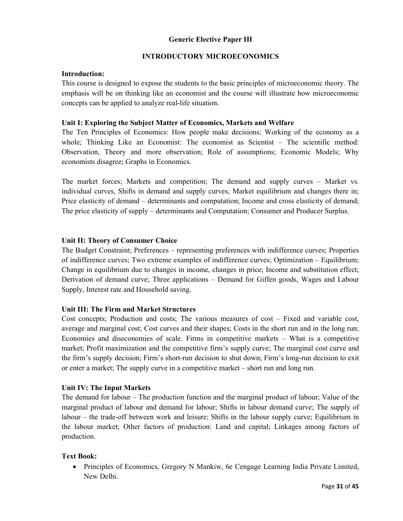# **Generic Elective Paper III**

# **INTRODUCTORY MICROECONOMICS**

## **Introduction:**

This course is designed to expose the students to the basic principles of microeconomic theory. The emphasis will be on thinking like an economist and the course will illustrate how microeconomic concepts can be applied to analyze real-life situation.

# **Unit I: Exploring the Subject Matter of Economics, Markets and Welfare**

The Ten Principles of Economics: How people make decisions; Working of the economy as a whole; Thinking Like an Economist: The economist as Scientist – The scientific method: Observation, Theory and more observation; Role of assumptions; Economic Models; Why economists disagree; Graphs in Economics.

The market forces; Markets and competition; The demand and supply curves – Market vs. individual curves, Shifts in demand and supply curves; Market equilibrium and changes there in; Price elasticity of demand – determinants and computation; Income and cross elasticity of demand; The price elasticity of supply – determinants and Computation; Consumer and Producer Surplus.

# **Unit II: Theory of Consumer Choice**

The Budget Constraint; Preferences – representing preferences with indifference curves; Properties of indifference curves; Two extreme examples of indifference curves; Optimization – Equilibrium; Change in equilibrium due to changes in income, changes in price; Income and substitution effect; Derivation of demand curve; Three applications – Demand for Giffen goods, Wages and Labour Supply, Interest rate and Household saving.

# **Unit III: The Firm and Market Structures**

Cost concepts; Production and costs; The various measures of cost – Fixed and variable cost, average and marginal cost; Cost curves and their shapes; Costs in the short run and in the long run; Economies and diseconomies of scale. Firms in competitive markets – What is a competitive market; Profit maximization and the competitive firm's supply curve; The marginal cost curve and the firm's supply decision; Firm's short-run decision to shut down; Firm's long-run decision to exit or enter a market; The supply curve in a competitive market – short run and long run.

## **Unit IV: The Input Markets**

The demand for labour – The production function and the marginal product of labour; Value of the marginal product of labour and demand for labour; Shifts in labour demand curve; The supply of labour – the trade-off between work and leisure; Shifts in the labour supply curve; Equilibrium in the labour market; Other factors of production: Land and capital; Linkages among factors of production.

## **Text Book:**

• Principles of Economics, Gregory N Mankiw, 6e Cengage Learning India Private Limited, New Delhi.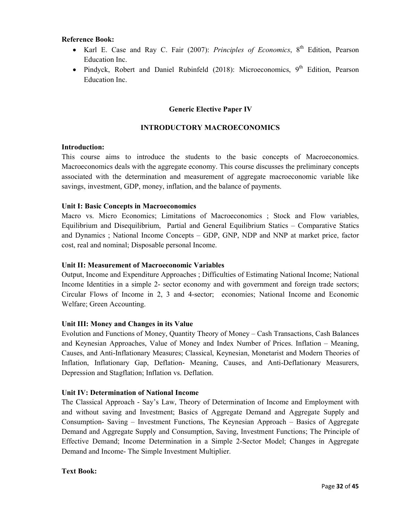#### **Reference Book:**

- Karl E. Case and Ray C. Fair (2007): *Principles of Economics*, 8<sup>th</sup> Edition, Pearson Education Inc.
- Pindyck, Robert and Daniel Rubinfeld  $(2018)$ : Microeconomics, 9<sup>th</sup> Edition, Pearson Education Inc.

## **Generic Elective Paper IV**

# **INTRODUCTORY MACROECONOMICS**

#### **Introduction:**

This course aims to introduce the students to the basic concepts of Macroeconomics. Macroeconomics deals with the aggregate economy. This course discusses the preliminary concepts associated with the determination and measurement of aggregate macroeconomic variable like savings, investment, GDP, money, inflation, and the balance of payments.

#### **Unit I: Basic Concepts in Macroeconomics**

Macro vs. Micro Economics; Limitations of Macroeconomics ; Stock and Flow variables, Equilibrium and Disequilibrium, Partial and General Equilibrium Statics – Comparative Statics and Dynamics ; National Income Concepts – GDP, GNP, NDP and NNP at market price, factor cost, real and nominal; Disposable personal Income.

#### **Unit II: Measurement of Macroeconomic Variables**

Output, Income and Expenditure Approaches ; Difficulties of Estimating National Income; National Income Identities in a simple 2- sector economy and with government and foreign trade sectors; Circular Flows of Income in 2, 3 and 4-sector; economies; National Income and Economic Welfare; Green Accounting.

## **Unit III: Money and Changes in its Value**

Evolution and Functions of Money, Quantity Theory of Money – Cash Transactions, Cash Balances and Keynesian Approaches, Value of Money and Index Number of Prices. Inflation – Meaning, Causes, and Anti-Inflationary Measures; Classical, Keynesian, Monetarist and Modern Theories of Inflation, Inflationary Gap, Deflation- Meaning, Causes, and Anti-Deflationary Measurers, Depression and Stagflation; Inflation vs. Deflation.

#### **Unit IV: Determination of National Income**

The Classical Approach - Say's Law, Theory of Determination of Income and Employment with and without saving and Investment; Basics of Aggregate Demand and Aggregate Supply and Consumption- Saving – Investment Functions, The Keynesian Approach – Basics of Aggregate Demand and Aggregate Supply and Consumption, Saving, Investment Functions; The Principle of Effective Demand; Income Determination in a Simple 2-Sector Model; Changes in Aggregate Demand and Income- The Simple Investment Multiplier.

#### **Text Book:**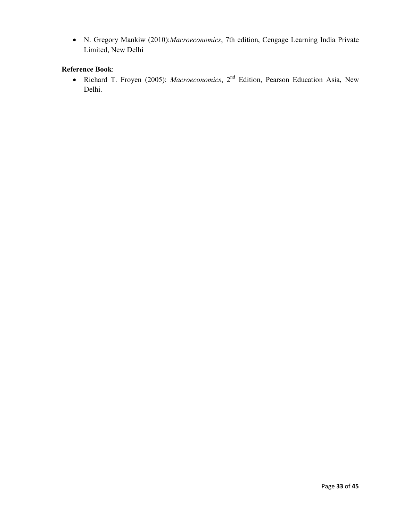• N. Gregory Mankiw (2010):*Macroeconomics*, 7th edition, Cengage Learning India Private Limited, New Delhi

# **Reference Book**:

• Richard T. Froyen (2005): *Macroeconomics*, 2nd Edition, Pearson Education Asia, New Delhi.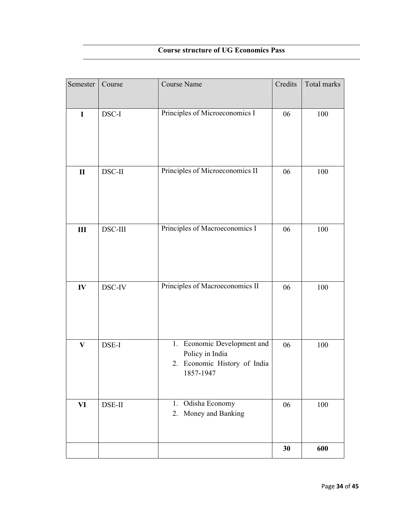# **Course structure of UG Economics Pass**

| Semester     | Course  | Course Name                                                                                 | Credits | Total marks |
|--------------|---------|---------------------------------------------------------------------------------------------|---------|-------------|
| $\mathbf I$  | DSC-I   | Principles of Microeconomics I                                                              | 06      | 100         |
| $\mathbf{I}$ | DSC-II  | Principles of Microeconomics II                                                             | 06      | 100         |
| $\rm III$    | DSC-III | Principles of Macroeconomics I                                                              | 06      | 100         |
| ${\bf IV}$   | DSC-IV  | Principles of Macroeconomics II                                                             | 06      | 100         |
| $\mathbf{V}$ | DSE-I   | 1. Economic Development and<br>Policy in India<br>2. Economic History of India<br>1857-1947 | 06      | 100         |
| VI           | DSE-II  | Odisha Economy<br>1.<br>Money and Banking<br>2.                                             | 06      | 100         |
|              |         |                                                                                             | 30      | 600         |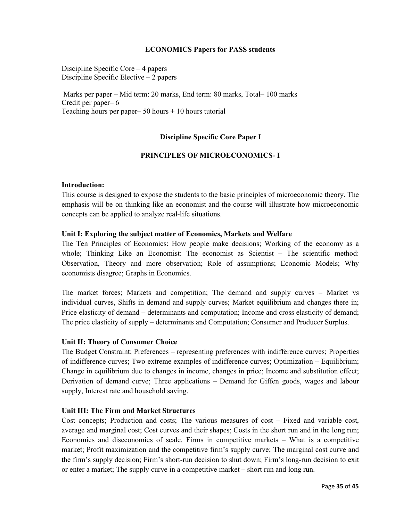## **ECONOMICS Papers for PASS students**

Discipline Specific Core – 4 papers Discipline Specific Elective – 2 papers

 Marks per paper – Mid term: 20 marks, End term: 80 marks, Total– 100 marks Credit per paper– 6 Teaching hours per paper–  $50$  hours  $+ 10$  hours tutorial

# **Discipline Specific Core Paper I**

## **PRINCIPLES OF MICROECONOMICS- I**

#### **Introduction:**

This course is designed to expose the students to the basic principles of microeconomic theory. The emphasis will be on thinking like an economist and the course will illustrate how microeconomic concepts can be applied to analyze real-life situations.

#### **Unit I: Exploring the subject matter of Economics, Markets and Welfare**

The Ten Principles of Economics: How people make decisions; Working of the economy as a whole; Thinking Like an Economist: The economist as Scientist – The scientific method: Observation, Theory and more observation; Role of assumptions; Economic Models; Why economists disagree; Graphs in Economics.

The market forces; Markets and competition; The demand and supply curves – Market vs individual curves, Shifts in demand and supply curves; Market equilibrium and changes there in; Price elasticity of demand – determinants and computation; Income and cross elasticity of demand; The price elasticity of supply – determinants and Computation; Consumer and Producer Surplus.

#### **Unit II: Theory of Consumer Choice**

The Budget Constraint; Preferences – representing preferences with indifference curves; Properties of indifference curves; Two extreme examples of indifference curves; Optimization – Equilibrium; Change in equilibrium due to changes in income, changes in price; Income and substitution effect; Derivation of demand curve; Three applications – Demand for Giffen goods, wages and labour supply, Interest rate and household saving.

#### **Unit III: The Firm and Market Structures**

Cost concepts; Production and costs; The various measures of cost – Fixed and variable cost, average and marginal cost; Cost curves and their shapes; Costs in the short run and in the long run; Economies and diseconomies of scale. Firms in competitive markets – What is a competitive market; Profit maximization and the competitive firm's supply curve; The marginal cost curve and the firm's supply decision; Firm's short-run decision to shut down; Firm's long-run decision to exit or enter a market; The supply curve in a competitive market – short run and long run.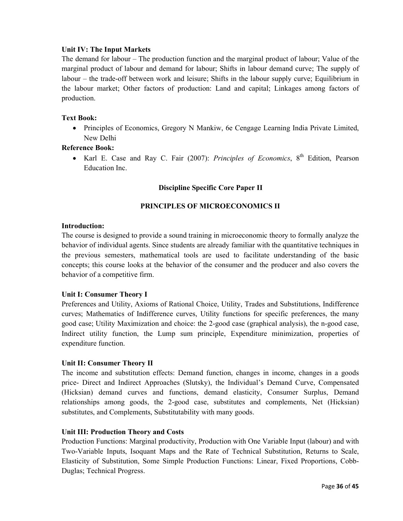## **Unit IV: The Input Markets**

The demand for labour – The production function and the marginal product of labour; Value of the marginal product of labour and demand for labour; Shifts in labour demand curve; The supply of labour – the trade-off between work and leisure; Shifts in the labour supply curve; Equilibrium in the labour market; Other factors of production: Land and capital; Linkages among factors of production.

## **Text Book:**

• Principles of Economics, Gregory N Mankiw, 6e Cengage Learning India Private Limited, New Delhi

## **Reference Book:**

• Karl E. Case and Ray C. Fair (2007): *Principles of Economics*, 8<sup>th</sup> Edition, Pearson Education Inc.

## **Discipline Specific Core Paper II**

# **PRINCIPLES OF MICROECONOMICS II**

## **Introduction:**

The course is designed to provide a sound training in microeconomic theory to formally analyze the behavior of individual agents. Since students are already familiar with the quantitative techniques in the previous semesters, mathematical tools are used to facilitate understanding of the basic concepts; this course looks at the behavior of the consumer and the producer and also covers the behavior of a competitive firm.

## **Unit I: Consumer Theory I**

Preferences and Utility, Axioms of Rational Choice, Utility, Trades and Substitutions, Indifference curves; Mathematics of Indifference curves, Utility functions for specific preferences, the many good case; Utility Maximization and choice: the 2-good case (graphical analysis), the n-good case, Indirect utility function, the Lump sum principle, Expenditure minimization, properties of expenditure function.

## **Unit II: Consumer Theory II**

The income and substitution effects: Demand function, changes in income, changes in a goods price- Direct and Indirect Approaches (Slutsky), the Individual's Demand Curve, Compensated (Hicksian) demand curves and functions, demand elasticity, Consumer Surplus, Demand relationships among goods, the 2-good case, substitutes and complements, Net (Hicksian) substitutes, and Complements, Substitutability with many goods.

## **Unit III: Production Theory and Costs**

Production Functions: Marginal productivity, Production with One Variable Input (labour) and with Two-Variable Inputs, Isoquant Maps and the Rate of Technical Substitution, Returns to Scale, Elasticity of Substitution, Some Simple Production Functions: Linear, Fixed Proportions, Cobb-Duglas; Technical Progress.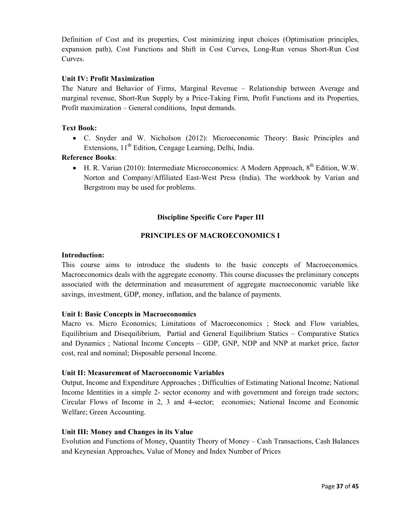Definition of Cost and its properties, Cost minimizing input choices (Optimisation principles, expansion path), Cost Functions and Shift in Cost Curves, Long-Run versus Short-Run Cost Curves.

## **Unit IV: Profit Maximization**

The Nature and Behavior of Firms, Marginal Revenue – Relationship between Average and marginal revenue, Short-Run Supply by a Price-Taking Firm, Profit Functions and its Properties, Profit maximization – General conditions, Input demands.

## **Text Book:**

• C. Snyder and W. Nicholson (2012): Microeconomic Theory: Basic Principles and Extensions, 11<sup>th</sup> Edition, Cengage Learning, Delhi, India.

## **Reference Books**:

• H. R. Varian (2010): Intermediate Microeconomics: A Modern Approach,  $8^{th}$  Edition, W.W. Norton and Company/Affiliated East-West Press (India). The workbook by Varian and Bergstrom may be used for problems.

# **Discipline Specific Core Paper III**

# **PRINCIPLES OF MACROECONOMICS I**

#### **Introduction:**

This course aims to introduce the students to the basic concepts of Macroeconomics. Macroeconomics deals with the aggregate economy. This course discusses the preliminary concepts associated with the determination and measurement of aggregate macroeconomic variable like savings, investment, GDP, money, inflation, and the balance of payments.

## **Unit I: Basic Concepts in Macroeconomics**

Macro vs. Micro Economics; Limitations of Macroeconomics ; Stock and Flow variables, Equilibrium and Disequilibrium, Partial and General Equilibrium Statics – Comparative Statics and Dynamics ; National Income Concepts – GDP, GNP, NDP and NNP at market price, factor cost, real and nominal; Disposable personal Income.

## **Unit II: Measurement of Macroeconomic Variables**

Output, Income and Expenditure Approaches ; Difficulties of Estimating National Income; National Income Identities in a simple 2- sector economy and with government and foreign trade sectors; Circular Flows of Income in 2, 3 and 4-sector; economies; National Income and Economic Welfare; Green Accounting.

## **Unit III: Money and Changes in its Value**

Evolution and Functions of Money, Quantity Theory of Money – Cash Transactions, Cash Balances and Keynesian Approaches, Value of Money and Index Number of Prices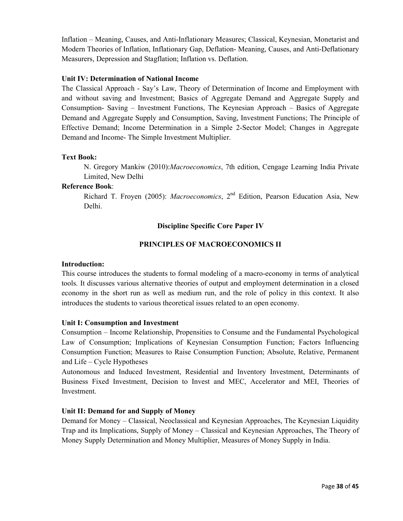Inflation – Meaning, Causes, and Anti-Inflationary Measures; Classical, Keynesian, Monetarist and Modern Theories of Inflation, Inflationary Gap, Deflation- Meaning, Causes, and Anti-Deflationary Measurers, Depression and Stagflation; Inflation vs. Deflation.

## **Unit IV: Determination of National Income**

The Classical Approach - Say's Law, Theory of Determination of Income and Employment with and without saving and Investment; Basics of Aggregate Demand and Aggregate Supply and Consumption- Saving – Investment Functions, The Keynesian Approach – Basics of Aggregate Demand and Aggregate Supply and Consumption, Saving, Investment Functions; The Principle of Effective Demand; Income Determination in a Simple 2-Sector Model; Changes in Aggregate Demand and Income- The Simple Investment Multiplier.

# **Text Book:**

N. Gregory Mankiw (2010):*Macroeconomics*, 7th edition, Cengage Learning India Private Limited, New Delhi

# **Reference Book**:

Richard T. Froyen (2005): *Macroeconomics*, 2nd Edition, Pearson Education Asia, New Delhi.

# **Discipline Specific Core Paper IV**

# **PRINCIPLES OF MACROECONOMICS II**

## **Introduction:**

This course introduces the students to formal modeling of a macro-economy in terms of analytical tools. It discusses various alternative theories of output and employment determination in a closed economy in the short run as well as medium run, and the role of policy in this context. It also introduces the students to various theoretical issues related to an open economy.

## **Unit I: Consumption and Investment**

Consumption – Income Relationship, Propensities to Consume and the Fundamental Psychological Law of Consumption; Implications of Keynesian Consumption Function; Factors Influencing Consumption Function; Measures to Raise Consumption Function; Absolute, Relative, Permanent and Life – Cycle Hypotheses

Autonomous and Induced Investment, Residential and Inventory Investment, Determinants of Business Fixed Investment, Decision to Invest and MEC, Accelerator and MEI, Theories of Investment.

# **Unit II: Demand for and Supply of Money**

Demand for Money – Classical, Neoclassical and Keynesian Approaches, The Keynesian Liquidity Trap and its Implications, Supply of Money – Classical and Keynesian Approaches, The Theory of Money Supply Determination and Money Multiplier, Measures of Money Supply in India.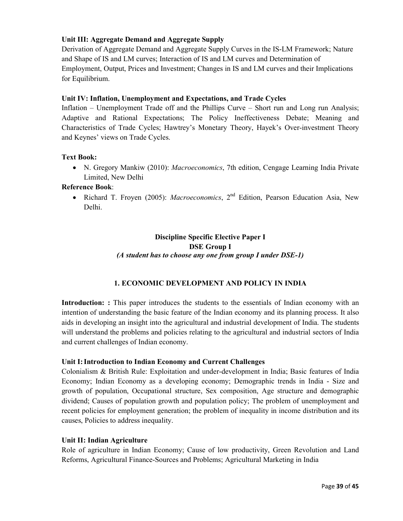# **Unit III: Aggregate Demand and Aggregate Supply**

Derivation of Aggregate Demand and Aggregate Supply Curves in the IS-LM Framework; Nature and Shape of IS and LM curves; Interaction of IS and LM curves and Determination of Employment, Output, Prices and Investment; Changes in IS and LM curves and their Implications for Equilibrium.

# **Unit IV: Inflation, Unemployment and Expectations, and Trade Cycles**

Inflation – Unemployment Trade off and the Phillips Curve – Short run and Long run Analysis; Adaptive and Rational Expectations; The Policy Ineffectiveness Debate; Meaning and Characteristics of Trade Cycles; Hawtrey's Monetary Theory, Hayek's Over-investment Theory and Keynes' views on Trade Cycles.

# **Text Book:**

• N. Gregory Mankiw (2010): *Macroeconomics*, 7th edition, Cengage Learning India Private Limited, New Delhi

## **Reference Book**:

• Richard T. Froyen (2005): *Macroeconomics*, 2<sup>nd</sup> Edition, Pearson Education Asia, New Delhi.

# **Discipline Specific Elective Paper I DSE Group I**  *(A student has to choose any one from group I under DSE-1)*

# **1. ECONOMIC DEVELOPMENT AND POLICY IN INDIA**

**Introduction: :** This paper introduces the students to the essentials of Indian economy with an intention of understanding the basic feature of the Indian economy and its planning process. It also aids in developing an insight into the agricultural and industrial development of India. The students will understand the problems and policies relating to the agricultural and industrial sectors of India and current challenges of Indian economy.

# **Unit I: Introduction to Indian Economy and Current Challenges**

Colonialism & British Rule: Exploitation and under-development in India; Basic features of India Economy; Indian Economy as a developing economy; Demographic trends in India - Size and growth of population, Occupational structure, Sex composition, Age structure and demographic dividend; Causes of population growth and population policy; The problem of unemployment and recent policies for employment generation; the problem of inequality in income distribution and its causes, Policies to address inequality.

## **Unit II: Indian Agriculture**

Role of agriculture in Indian Economy; Cause of low productivity, Green Revolution and Land Reforms, Agricultural Finance-Sources and Problems; Agricultural Marketing in India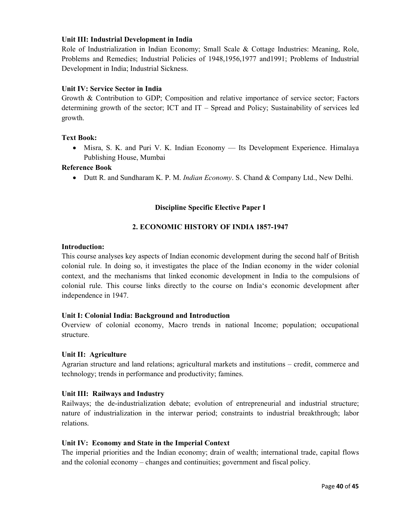## **Unit III: Industrial Development in India**

Role of Industrialization in Indian Economy; Small Scale & Cottage Industries: Meaning, Role, Problems and Remedies; Industrial Policies of 1948,1956,1977 and1991; Problems of Industrial Development in India; Industrial Sickness.

## **Unit IV: Service Sector in India**

Growth & Contribution to GDP; Composition and relative importance of service sector; Factors determining growth of the sector; ICT and IT – Spread and Policy; Sustainability of services led growth.

## **Text Book:**

• Misra, S. K. and Puri V. K. Indian Economy — Its Development Experience. Himalaya Publishing House, Mumbai

## **Reference Book**

• Dutt R. and Sundharam K. P. M. *Indian Economy*. S. Chand & Company Ltd., New Delhi.

# **Discipline Specific Elective Paper I**

## **2. ECONOMIC HISTORY OF INDIA 1857-1947**

#### **Introduction:**

This course analyses key aspects of Indian economic development during the second half of British colonial rule. In doing so, it investigates the place of the Indian economy in the wider colonial context, and the mechanisms that linked economic development in India to the compulsions of colonial rule. This course links directly to the course on India's economic development after independence in 1947.

## **Unit I: Colonial India: Background and Introduction**

Overview of colonial economy, Macro trends in national Income; population; occupational structure.

## **Unit II: Agriculture**

Agrarian structure and land relations; agricultural markets and institutions – credit, commerce and technology; trends in performance and productivity; famines.

## **Unit III: Railways and Industry**

Railways; the de-industrialization debate; evolution of entrepreneurial and industrial structure; nature of industrialization in the interwar period; constraints to industrial breakthrough; labor relations.

## **Unit IV: Economy and State in the Imperial Context**

The imperial priorities and the Indian economy; drain of wealth; international trade, capital flows and the colonial economy – changes and continuities; government and fiscal policy.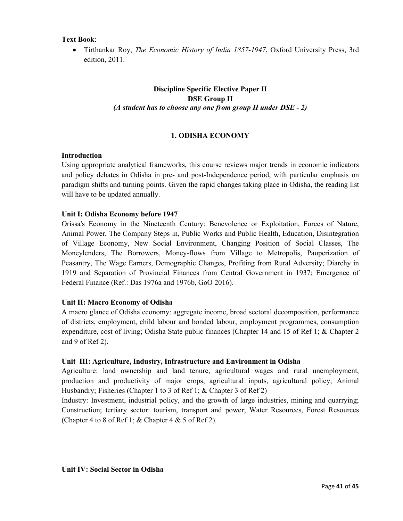## **Text Book**:

• Tirthankar Roy, *The Economic History of India 1857-1947*, Oxford University Press, 3rd edition, 2011.

# **Discipline Specific Elective Paper II DSE Group II**  *(A student has to choose any one from group II under DSE - 2)*

## **1. ODISHA ECONOMY**

#### **Introduction**

Using appropriate analytical frameworks, this course reviews major trends in economic indicators and policy debates in Odisha in pre- and post-Independence period, with particular emphasis on paradigm shifts and turning points. Given the rapid changes taking place in Odisha, the reading list will have to be updated annually.

#### **Unit I: Odisha Economy before 1947**

Orissa's Economy in the Nineteenth Century: Benevolence or Exploitation, Forces of Nature, Animal Power, The Company Steps in, Public Works and Public Health, Education, Disintegration of Village Economy, New Social Environment, Changing Position of Social Classes, The Moneylenders, The Borrowers, Money-flows from Village to Metropolis, Pauperization of Peasantry, The Wage Earners, Demographic Changes, Profiting from Rural Adversity; Diarchy in 1919 and Separation of Provincial Finances from Central Government in 1937; Emergence of Federal Finance (Ref.: Das 1976a and 1976b, GoO 2016).

## **Unit II: Macro Economy of Odisha**

A macro glance of Odisha economy: aggregate income, broad sectoral decomposition, performance of districts, employment, child labour and bonded labour, employment programmes, consumption expenditure, cost of living; Odisha State public finances (Chapter 14 and 15 of Ref 1; & Chapter 2 and 9 of Ref 2).

## **Unit III: Agriculture, Industry, Infrastructure and Environment in Odisha**

Agriculture: land ownership and land tenure, agricultural wages and rural unemployment, production and productivity of major crops, agricultural inputs, agricultural policy; Animal Husbandry; Fisheries (Chapter 1 to 3 of Ref 1; & Chapter 3 of Ref 2)

Industry: Investment, industrial policy, and the growth of large industries, mining and quarrying; Construction; tertiary sector: tourism, transport and power; Water Resources, Forest Resources (Chapter 4 to 8 of Ref 1;  $&$  Chapter 4  $&$  5 of Ref 2).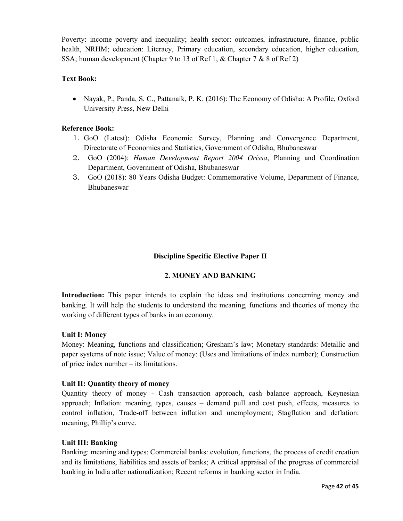Poverty: income poverty and inequality; health sector: outcomes, infrastructure, finance, public health, NRHM; education: Literacy, Primary education, secondary education, higher education, SSA; human development (Chapter 9 to 13 of Ref 1; & Chapter 7 & 8 of Ref 2)

# **Text Book:**

• Nayak, P., Panda, S. C., Pattanaik, P. K. (2016): The Economy of Odisha: A Profile, Oxford University Press, New Delhi

# **Reference Book:**

- 1. GoO (Latest): Odisha Economic Survey, Planning and Convergence Department, Directorate of Economics and Statistics, Government of Odisha, Bhubaneswar
- 2. GoO (2004): *Human Development Report 2004 Orissa*, Planning and Coordination Department, Government of Odisha, Bhubaneswar
- 3. GoO (2018): 80 Years Odisha Budget: Commemorative Volume, Department of Finance, Bhubaneswar

## **Discipline Specific Elective Paper II**

## **2. MONEY AND BANKING**

**Introduction:** This paper intends to explain the ideas and institutions concerning money and banking. It will help the students to understand the meaning, functions and theories of money the working of different types of banks in an economy.

## **Unit I: Money**

Money: Meaning, functions and classification; Gresham's law; Monetary standards: Metallic and paper systems of note issue; Value of money: (Uses and limitations of index number); Construction of price index number – its limitations.

## **Unit II: Quantity theory of money**

Quantity theory of money - Cash transaction approach, cash balance approach, Keynesian approach; Inflation: meaning, types, causes – demand pull and cost push, effects, measures to control inflation, Trade-off between inflation and unemployment; Stagflation and deflation: meaning; Phillip's curve.

## **Unit III: Banking**

Banking: meaning and types; Commercial banks: evolution, functions, the process of credit creation and its limitations, liabilities and assets of banks; A critical appraisal of the progress of commercial banking in India after nationalization; Recent reforms in banking sector in India.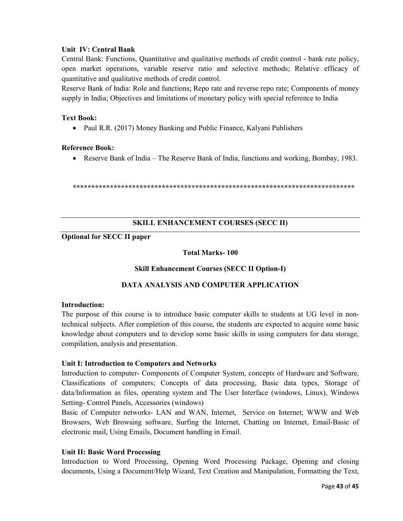## **Unit IV: Central Bank**

Central Bank: Functions, Quantitative and qualitative methods of credit control - bank rate policy, open market operations, variable reserve ratio and selective methods; Relative efficacy of quantitative and qualitative methods of credit control.

Reserve Bank of India: Role and functions; Repo rate and reverse repo rate; Components of money supply in India; Objectives and limitations of monetary policy with special reference to India

## **Text Book:**

• Paul R.R. (2017) Money Banking and Public Finance, Kalyani Publishers

## **Reference Book:**

• Reserve Bank of India – The Reserve Bank of India, functions and working, Bombay, 1983.

**\*\*\*\*\*\*\*\*\*\*\*\*\*\*\*\*\*\*\*\*\*\*\*\*\*\*\*\*\*\*\*\*\*\*\*\*\*\*\*\*\*\*\*\*\*\*\*\*\*\*\*\*\*\*\*\*\*\*\*\*\*\*\*\*\*\*\*\*\*\*\*\*\*\*\*\*** 

## **SKILL ENHANCEMENT COURSES (SECC II)**

# **Optional for SECC II paper**

## **Total Marks- 100**

## **Skill Enhancement Courses (SECC II Option-I)**

# **DATA ANALYSIS AND COMPUTER APPLICATION**

## **Introduction:**

The purpose of this course is to introduce basic computer skills to students at UG level in nontechnical subjects. After completion of this course, the students are expected to acquire some basic knowledge about computers and to develop some basic skills in using computers for data storage, compilation, analysis and presentation.

## **Unit I: Introduction to Computers and Networks**

Introduction to computer- Components of Computer System, concepts of Hardware and Software, Classifications of computers; Concepts of data processing, Basic data types, Storage of data/Information as files, operating system and The User Interface (windows, Linux), Windows Setting- Control Panels, Accessories (windows)

Basic of Computer networks- LAN and WAN, Internet, Service on Internet; WWW and Web Browsers, Web Browsing software, Surfing the Internet, Chatting on Internet, Email-Basic of electronic mail, Using Emails, Document handling in Email.

## **Unit II: Basic Word Processing**

Introduction to Word Processing, Opening Word Processing Package, Opening and closing documents, Using a Document/Help Wizard, Text Creation and Manipulation, Formatting the Text,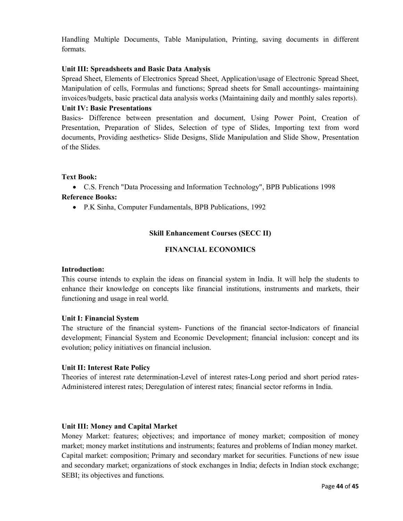Handling Multiple Documents, Table Manipulation, Printing, saving documents in different formats.

## **Unit III: Spreadsheets and Basic Data Analysis**

Spread Sheet, Elements of Electronics Spread Sheet, Application/usage of Electronic Spread Sheet, Manipulation of cells, Formulas and functions; Spread sheets for Small accountings- maintaining invoices/budgets, basic practical data analysis works (Maintaining daily and monthly sales reports).

## **Unit IV: Basic Presentations**

Basics- Difference between presentation and document, Using Power Point, Creation of Presentation, Preparation of Slides, Selection of type of Slides, Importing text from word documents, Providing aesthetics- Slide Designs, Slide Manipulation and Slide Show, Presentation of the Slides.

## **Text Book:**

• C.S. French "Data Processing and Information Technology", BPB Publications 1998 **Reference Books:** 

• P.K Sinha, Computer Fundamentals, BPB Publications, 1992

# **Skill Enhancement Courses (SECC II)**

## **FINANCIAL ECONOMICS**

## **Introduction:**

This course intends to explain the ideas on financial system in India. It will help the students to enhance their knowledge on concepts like financial institutions, instruments and markets, their functioning and usage in real world.

## **Unit I: Financial System**

The structure of the financial system- Functions of the financial sector-Indicators of financial development; Financial System and Economic Development; financial inclusion: concept and its evolution; policy initiatives on financial inclusion.

## **Unit II: Interest Rate Policy**

Theories of interest rate determination-Level of interest rates-Long period and short period rates-Administered interest rates; Deregulation of interest rates; financial sector reforms in India.

#### **Unit III: Money and Capital Market**

Money Market: features; objectives; and importance of money market; composition of money market; money market institutions and instruments; features and problems of Indian money market. Capital market: composition; Primary and secondary market for securities. Functions of new issue and secondary market; organizations of stock exchanges in India; defects in Indian stock exchange; SEBI; its objectives and functions.